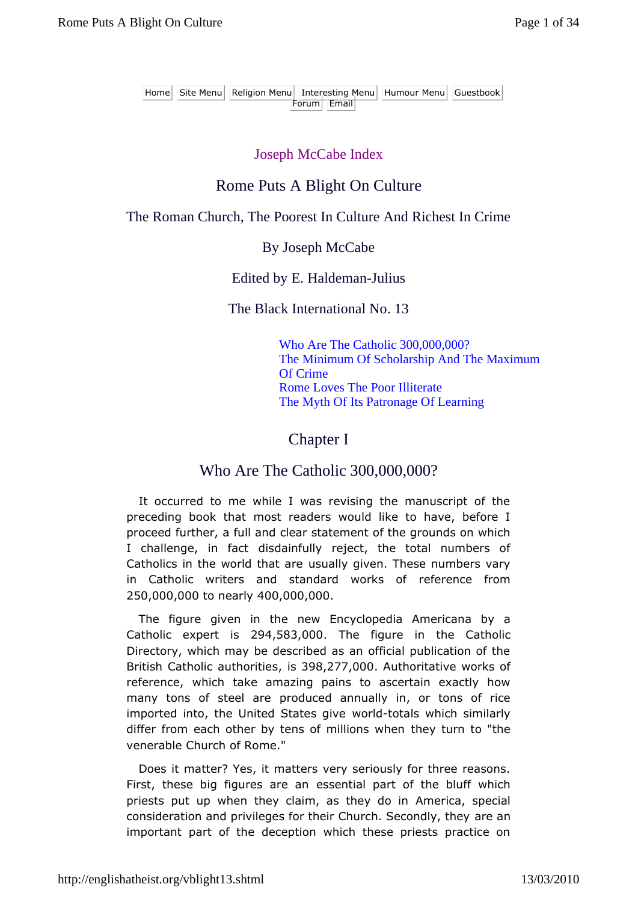Home Site Menu Religion Menu Interesting Menu Humour Menu Guestbook Forum Email

### Joseph McCabe Index

### Rome Puts A Blight On Culture

#### The Roman Church, The Poorest In Culture And Richest In Crime

#### By Joseph McCabe

#### Edited by E. Haldeman-Julius

The Black International No. 13

Who Are The Catholic 300,000,000? The Minimum Of Scholarship And The Maximum Of Crime Rome Loves The Poor Illiterate The Myth Of Its Patronage Of Learning

### Chapter I

### Who Are The Catholic 300,000,000?

It occurred to me while I was revising the manuscript of the preceding book that most readers would like to have, before I proceed further, a full and clear statement of the grounds on which I challenge, in fact disdainfully reject, the total numbers of Catholics in the world that are usually given. These numbers vary in Catholic writers and standard works of reference from 250,000,000 to nearly 400,000,000.

The figure given in the new Encyclopedia Americana by a Catholic expert is 294,583,000. The figure in the Catholic Directory, which may be described as an official publication of the British Catholic authorities, is 398,277,000. Authoritative works of reference, which take amazing pains to ascertain exactly how many tons of steel are produced annually in, or tons of rice imported into, the United States give world-totals which similarly differ from each other by tens of millions when they turn to "the venerable Church of Rome."

Does it matter? Yes, it matters very seriously for three reasons. First, these big figures are an essential part of the bluff which priests put up when they claim, as they do in America, special consideration and privileges for their Church. Secondly, they are an important part of the deception which these priests practice on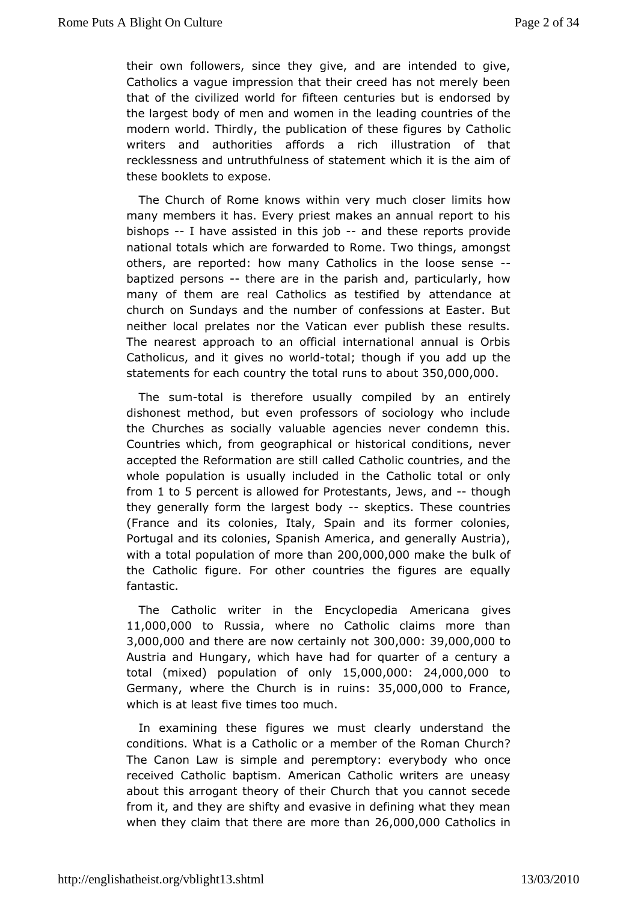their ownollowers, since they give, and are intended to give Catholics a vampure ssion that their creed has not merely been that of the civilized wiofithed for enturies but is endorsed by the largest body of men and wolmerading the leading the leading the modern world. Thirdly, the publication dofythceast boffigures writers and authorities affords a rich illustration of that recklessness and untruthfulness of statement which it is the thesebooklets to expose.

The Church of Rome knows within very immits hhow ser many members it has. Every priest makes an annual report to bishops I have assisted in thias dobhese reports provide nationad tals which are forwarded to Rome. Two things, among others, are reportowd: many Catholics in the loose sense baptized personsere are in ptahresh and, particularly, how many of them are real Catholics as at estidfan ender by at church on Sundays and the number of confessions at Easter neither local prelates nor the Vatican ever publish these re The neareast proach to an official international annual is Orbish Catholicus, and it moiwes total; though if you add up the statements for each country ut the too taal  $\delta\delta 0$ ,000,000

The sum-tal is therefore usually commpilend tibeyly dishonest method, but even professors of sociology who inc the Churches as socially valuable agencies never condemn t Countries which, gerogorraphical or historical conditions, never accepted the Reformation ad reds Cialtholic countries, and the whole population is usually incl**Que** the thought the call or only from1 to5 percent is allowed for P,r.bet w standts though they generally form the largess kelpoid cys. These countries (France and its colonies, Italy, Spain and its former colo Portugal and oitsnies, Spanish America, and generally Austria with a total populan time  $x + 200,000,000$  ake the bulk of the Catholic figure. For other the ording tures are equally fantastic.

The Catholic writer in the Endeymcolopeachian gives 11,000,0000 Russiwhere no Catholic claims more than  $3,000,00$  and there are now cert  $30$  only  $0.000,000$  ,  $0.00$ Austria amdingary, which have had for quarter of a century a total (mixed) population by  $65,000,00024,000,0000$ German where the Church is  $\sin 35r$ ,  $\sin 36r$ ,  $000$  France, which is at least five times too much.

In examining thespeeres we must clearly understand the conditions. What is a Catholomido eorr caf the Roman Church? The Canon Law is simple and peremptowyhoe oncyclody received Catholic baptism. American Catholic writers are un abouthis arrogant theory of their Church that you cannot sec from it, and ahreyshifty and evasive in defining what they mear when they claim that the one at the  $2r6,000,000$  atholics in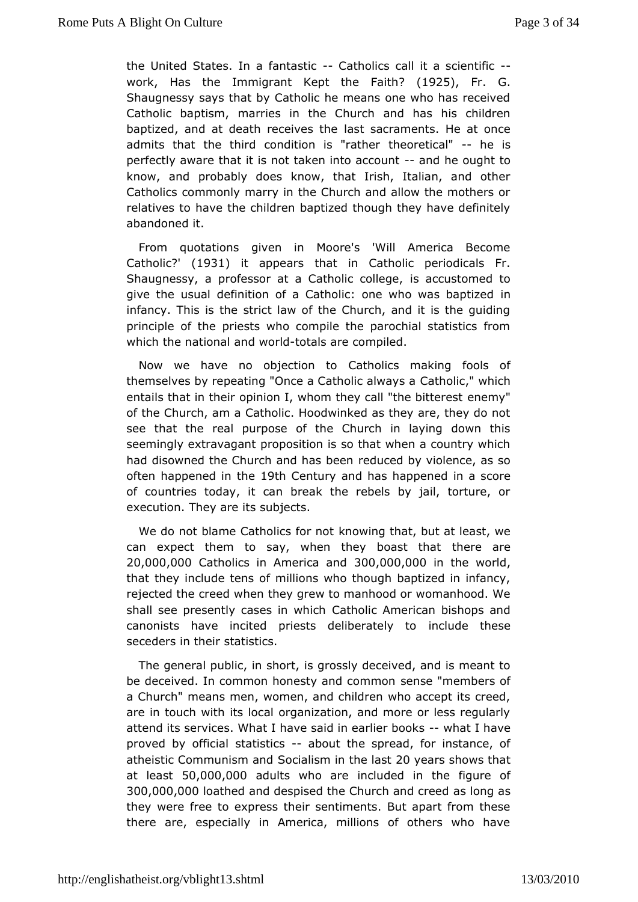the United States. In a  $f \oplus \mathsf{B}$  and  $f \oplus \mathsf{C}$  all it a scientific work Has the Immigrant Kept the (1925,thFr. G. Shaugnessy says that by Catholic he means one who has rece Catholic baptism, can in the Church and has his children baptized, and at death recleaisviess atoneaments. He at once admits that the third condition theoreather he is perfectly aware that it is not taken-iant dhaccought to know, and probably does know, that Irish, Italian, and ot Catholics commonly marry in the Church and allow the mothe relativeshtave the children baptized though they have definite abandoned it.

From quotations given in Moore's 'Will America Become Catholic (193) it appearthat in Catholic periodicals Fr. Shaugnessy, a professor at a Catholiac constromed to give the usual definition of a Catholic: one who was baptiz infancy. This is the strict law of the Church, and it is the g principle of the priests who compile the parochial statistics which the ational and worlds are compiled.

Now we have no object Coanthoolics making fools of themselves by repeating "Once a Catholic alic which a ch entails that in their opinion I, whom they ceanle minutive bitterest of the Church, am a Catholic. Hoodwinked as they are, they d seethat the real purpose of the Church in laying down the seemingly extravagoapodsition is so that when a country which had disowned the Church and rehdausc been been violence, as so often happened in  $X$ th Century and has happen sudore of countries today, it can break the rebels by jail, torture execution. They are its subjects.

We do not blame Catholicks not own not that, but at least, we can expect them to say, when they thhoearet atheat  $20,000,00$  $@atholics$  in Ameri $8$  $@0$  $@0$  $@0,00$  $@$  the world thatthey include tens of millions who though baptized in infa rejected the cwhed they grew to manhood or womanhood. We shall see presently casesC antholic chamerican bishops and canonists have incited priests deliberadely theose seceders in their statistics.

The general public, ins sy trostsly deceived, and is meant to be deceived. In common honesty asnedn sendmembers of a Church" means men, women, and children who accept its cr are in touch with its local organization, and more or less reg attend istes rvices. What I have said in earwheart boboak se proved by offstaalstics about the spread, for instance, of atheistic Communis Sho and is min the Olya sairs shows that at least 0,000,00@ dults who are reluded in the figure of 300,000,000 athed and despised the Churcahs aloud gc aesed they were free to express their sentiments. But apart from t there are, especially in America, millions of others who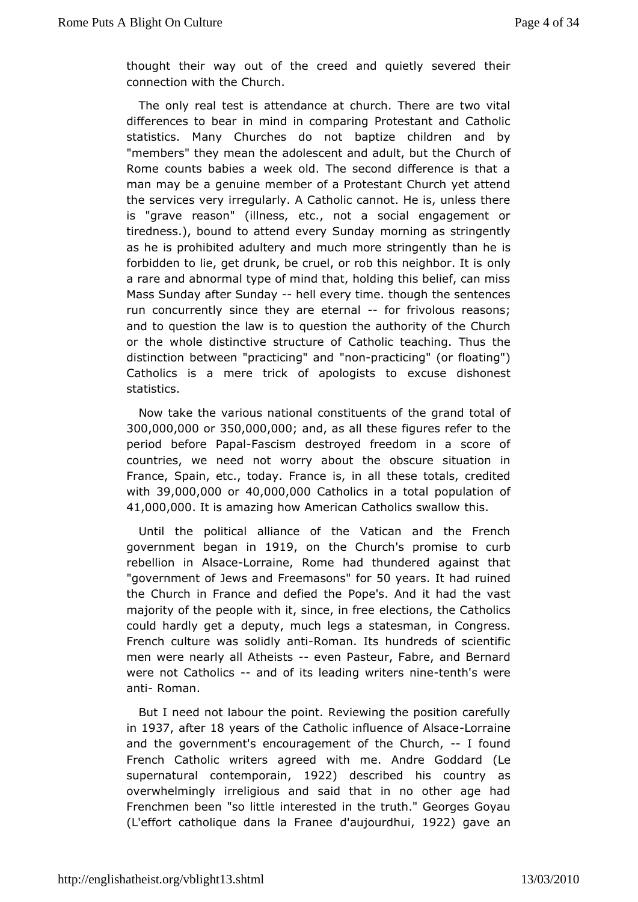thought their way of the creed and quietly severed their connection with the Church.

Theonly real test is attendance at church. There are two v differences to ibeanind in comparing Protestant and Catholic statistics. Many Churches beoptinent children and by "members" they mean the adolescent and Candurk h but the Rome counts babies a week old. The second difference is t man mabe a genuine member of a Protestant Church yet atter the services ive egularly. A Catholic cannot. He is, unless there is "grave reason" (ideltneessnot a social engagement or tiredness.), bound to attend even morning and as string ently as he is prohibited adultery and much mtchrænsheinigently forbidden to lie, get drunk, be cruel, or rob tohnisyneighbor. It a rare and abnormal type of mind that, holding this belief, can Mas Sunday after Sunday every time. though the sentences run concurreathyce they are etentoal frivolous reasons; and to question the law eisstiton the authority of the Church or the whole distinctive structure bicoteaching. Thus the distinction between "practi" mion omp" raamt dicing" (or floating") Catholics is a mere trick of apekocquissets dishonest statistics.

Now take the various national combsetique antes to oftal of  $300,000,000$   $350,000,000$ ,  $0$  and  $a$  s all the se figure tos number period before **Fapal**sm destroyed freedom in a score of countries, weed not worry about the obscure situation in France, Spain, etc., todays, Finamade these totals, credited with39,000,000 a40,000,000 atholics in tal population of 41,000,000 is amazing how American Cathothicss. swallow

Until the political alliance of the Vatican and the Fre government began 91p on the Chus coromise to curb rebellion Aihsacheorraine, Rome had thundered against that "government of JewFsreaenndas önier 50 years thad ruined the Church in France and decopeds the nd it had the vast majority of the people with it, seine et, idnsfree e Catholics could hardly get a deputy, much legs a Csot**agees**msan, in French culture was solRdolm annitits hundreds of scientific menwere nearly all Atheissets Pasteur, Fabre, and Bernard were not Catho-liacnsd of its leading writteensth is newere anti Roman.

But I neadt labour the point. Reviewing the position careful in1937 aftent 8 years f the Catholic influence Loofr Aalisnaece and the government's encoupagemeenCthurch, found French Catholic writers agreed with me. Atter Goddard supernatural contempto amescribed his country as overwhelmingring irreligious and said that in no other age had Frenchmen been "soniethested in the truth." Georges Goyau  $(L<sup>1</sup>$  effort catholique dans belau Fipaumel bui  $922$  gave an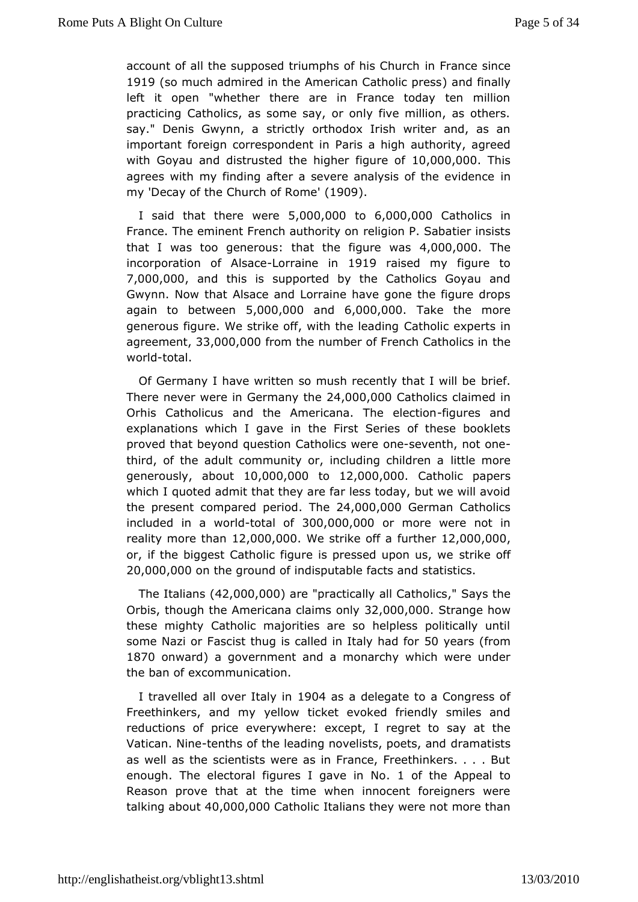account of all the supposed triumphsime  $f_F$  has  $\mathcal{C}$  has in the 1919 (so much admired in the American Q aathold lincal ply vess  $left$  it open "whether there are in France today ten million  $practici@atholics, as some sav, or only five million, as other.$ say." Denis Gwynsntricatly orthodox Irish writer and, as an important foreign correspoPradentaim igh authority, agreed with Goyau and distrusted the higher,  $0.00,0.00$  . The  $10,000$ agrees with my finding after a severe analysis nof the evider  $my'Decay$  of the Church 'o(fl  $\Re$ O) $\Re$ ne

I said that there  $5w@@@.00@@6.000.00@atholics$  in France. The eminent French aux higrothy Bon Sabatier insists that I was too generous: that the  $4f_i$  (@ 0.000  $\theta$  0.000  $\theta$  booses in the set of  $\theta$  .000  $\theta$  and  $\theta$  and  $\theta$  and  $\theta$  and  $\theta$  and  $\theta$  and  $\theta$  and  $\theta$  and  $\theta$  and  $\theta$  and  $\theta$  and  $\theta$  and  $\theta$  and  $\theta$  and incorporation of -Absaaene 1019 raised my figure to 7,000,00@ nd this is supported by the Catholics Goyau and Gwynn. Now that ace and Lorraine have gone the figure drops again to betw 5e 000,000 and 6,000,000 Take the more generous figure. We strike off, wit@attholicading rts in agreement 3,000,000 cm the number of French Ctahteholics in worldotal.

Of Germany I have written so mush recent by the I will be There never were in Germ2 4,000 0h 0 000 atholics claimed in OrhisCatholicus and the Americana. Thioeureelse cainodh explanations which Ingalve First Series of these booklets proved that beyond question Catchroelses ewneling not-one third, of the adult community or, includlint plechmib deen a  $g$ enerouslaybout10,000,000o 12,000,000 atholic papers which quoted admit that they are far less today, but we will av the presend mpared perlished 24,000,000 German Catholics  $in$  cluded in a -whootrald  $\alpha$  3000,000,00 $\alpha$  more were not in reality more theanoo, 0.0 We strike off trahet 2,000,0,000 or, if the biggest Catholic figure is presserd komponent us, we 20,000,000 the ground of indisputablset a aicstts cased

The Italia  $42,000,0$  )  $0a$  re"practically all  $Ca$ "  $t$   $s$   $a$   $y$   $s$   $s$   $h$   $e$ Orbis though the Americana cla3 2n, \$0 000, 10, 030 trange how thesemighty Catholic majorities are so helpless politically a some Nazi Fascist thug is called in Italyy had fom 1870 on wajda governmeanntd a monarchy which were under the ban of excommunication.

I travellad over Ital y 9 Dm4 as a delegate to a Congress of Freethinkers, and emigw ticket evoked friendly smiles and reductions of price everywherb: reegarceetptt, o say at the Vatican. Niteneths of the leading novelistsdramed bistasnd as well as the scientists were as in France, Freethinkers.. enough The electoral figures I gave of nthe Appeal to Reason prove ahathe time when innocent foreigners were talking ab $60,000$ , 000 atholit alians they were not more than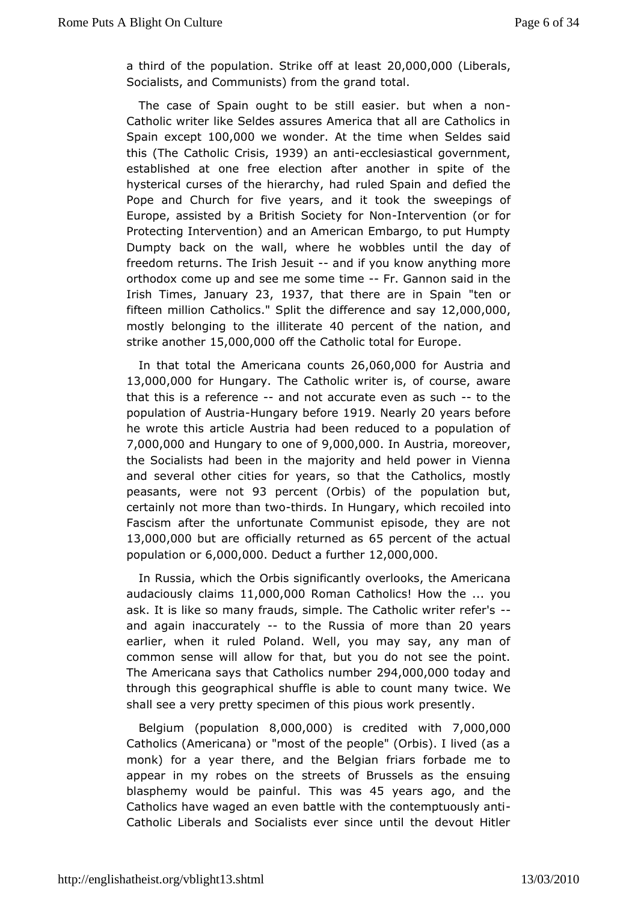a third of the population. Strike 20f0 0a0t 06 @ is sterals Socialists, and Communists) from the grand

The case of Spain ought to be still easier. - but when a r Catholic writer like Seldes assures America that all are Cath Spainexcept 00,000 we wondert the time when Seldes said this (The Catholics 939 an anticclesiastical government, established at one eleroete on after another in spite of the hysterical curses of the hierraurloehdy, Sphaaidh and defied the Pope and Church for five years, and swite thoiming sthoef Europe, assisted by a British Sodinet by vicon til bon (or for Protecting Intervention) and an American Embargo, to put Hu Dumpty back the wall, where he wobbles until the day of freedom returns. The Iris-hand it if you know anything more orthodox come up and see me  $s$ -o $F$ me  $s$  ainmen said in the  $I$ rish Timelsanuar $x_3$ , 1937 that there are in "Slopmainment" fifteen million Catholicathe difference a @ d0 0 0 ay 0,00 mostlybelonging to the ill4 Departeent of the nation strike another 000,000 f the Catholic total for Europe

In that total the Amecroicans26,060,000or Austria and 13,000,00 for Hungalhe Catholic wisite enforcerse, aware that this is a referendenot accurate even -as osthceh population of A-theuthing  $a \cdot v$  be fore  $\theta$  and  $a \cdot u$  years before hewrote this article Austria had been reduced to a populatic 7,000,00a0 ndHungary to on9e,000f0,0010n Austrina oreover the Socialists had beenmianjority and held power in Vienna and several other cities for thy as tartshies  $G$  atholics, mostly peasantsvere not3 percen(Orbi)s of thepopulation but, certainly not more thtan in redwoln Hungary, which intencoiled Fascism after the unfortunate Communist episode, they are 13,000,000 t are officially retuorshipe and of the actual  $p$ opulation 6 $p$ 000,000 educt a further 000,000

In Russia, which the Orbis socquerfliccoaknstly the Americana audaciously claimos00,0000 man Catholics the... you ask. It is like so many frauds, simple. The Catholic writer ret and again inaccuratelythe Russia of mor<sub>20</sub> tyheaan's earlier, whemulied Poland. Well, you may say, any man of common sense will allow bot yout, do not see the point. The Americana says that Catho 20 \$4,000,000 boday and through this geographical shuffle is abletwice.o. Whet many shall see a very pretty specimen of tphis speinotulys. work

 $B$ elgium(populatio $\theta$ n,000,0 $\theta$ 0s credited w7it $\theta$ 00,000 Catholics (Americana) or "most of the people" (Orbis). I lived monk) for yæar there, and the Belgian friars forbade me to appear in my robes sonteletes of Brussels as the ensuing blasphemy would be plahinsful wa 455 yearsago, and the Catholics have waged an even battle with the contemptuously Catholic Liberals and Socialists ever since until the devout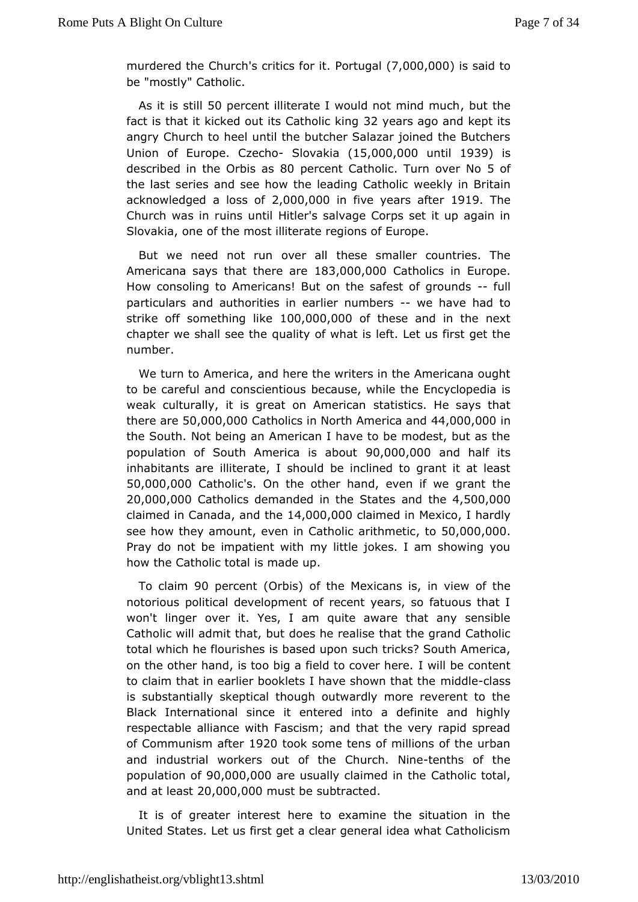$m$ urdered  $t$ Chheurch critics  $f$ . Of Point tugal  $7,000$ ,  $000$  is said to be "most Quatholic.

As it is \$10 lpt ercent illiterate I would not, buittet much fact is that it kicked out its C3a2 the aircs kaing and kept its angr Church to heel until the butcher Salazar joined the Butc  $Union$  of  $E$ uro  $Q$ <sub>2</sub> $ce$ . cho  $S$ lovaki $(d15,000,000$  m till 93 $9$  is described in the OBbDipeasenCtatholi Eurn over 5N of the last series and see how the leawdered In Catholic midtain acknowledged a Ic2s \$000f,00ion five years an the The Church was in ruins until Hitler's salvage Corps set it up ag Slovakiane of the most illiterate regions of Europe.

But we need not run otheers allsmaller countries. The  $A$ mericana says that the  $80,000$  atholics Europe. How consoling to Americans! But on the sa-f-efatillof grounds particulars and authorities in earliewenbandceerhsad to strike  $of \theta$  mething  $1100,000,000$  these and in the next chapter we shall sopueathtey of what is left. Let us first get the number.

We turn to Ameandahere the writers in the Americana ought to be careful and cons bie end usues while the Encyclopedia is weak culturally, it is great onstatminetricosan He says that there a50,000,000 atholics in North Ame4r4 c0a0 8 n d0 0 the South. Not being an American I have to be modest, but a population of South America 90s, 000,000,000 half its inhabitants ialrieterate, I should be inclined to grant it at lea 50,000,00 $@$  atho's ic Onthe other hand, even if we grant the  $20,000,000$  atholics demanded in theandS ttahsoles,  $$00,000$ claimed in Camandda the4,000,000 aimed in Melxhiaodly see how they amount in Catholic arithmototic  $0.000$ ,  $0.00$ Pray dwot be impatient with my little jokes. I am showing you how the Catholic stontable up.

To claim opercent  $O$ rbis of the Mexica, nish is iew of the notorious political development of recent years, so fatuous won't lingewer it. Yes, I am quite aware that any sensible Catholic will admit the e,s blue realise that the grand Catholic total which he flourishes is basbed ruip hs? South America, on the other hand, is too big a field I towid b wheer choen teent to claim that in earlier booklets I have ms indodwel ab at the is substantially skeptical though outwardly more reverent to Black International since it entered into a definite and h respectaballe iance with Fascism; and that the very rapid spread of Communism aftentions is the urban of communism after the urban and industrial workers outChoufroth.e Nitenths of the  $p$ opulation  $90f000$ ,00 $0c$ e usually claimed  $C$  and htchleic total, and at le28t000,0000ust be subtracted

It is ogfreater interest here to examine the situation in th United States. Let us aret a clear general idea what Catholicism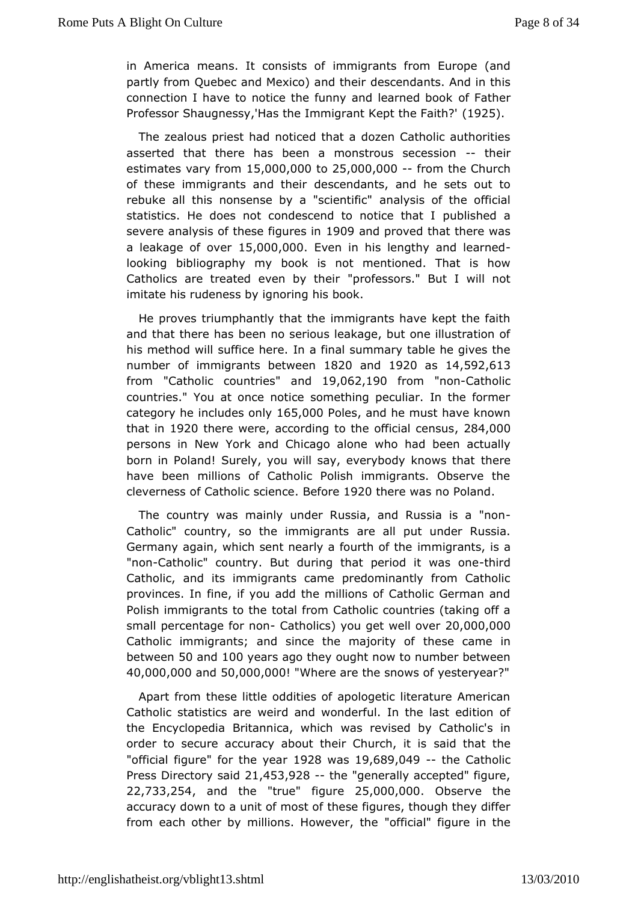in America means. It conspiration fits from Europe (and partly from Quebec and Mexicodesundant has and in this connection I have to notice the funny and fleathed book Professor Shaugnessy, Has the Immigrant Konthe Faith?'

The zealous priest had noticed that a dozen Catholic author asserted that there has been a monstrous their ession estimates vary  $#5$ ,000,00025,000,000 from the Church of these immigrants and the state indiants, and he sets out to rebuke all this nonsense by a a sanglive saific the official statistics. He does not condescend topublisheed haat I severe analysis of these #9009 and ipproved that there was a leakage of olv5e, 000,000 ven in his lengthy and learned looking bibliography book is not mentioned. That is how Catholics are treated even pbrofersors." But I will not imitate his rudeness by ignoring his book.

Heproves triumphantly that the immigrants have kept the fa and that therebbes no serious leakage, but one illustration o his method will suffide *hefrienal* summary table he gives the number of immigrants b & & @ @ amd1920as 14,592,613 from "Catholic countraineds 19,062,190 rom "non-Catholic countries." You at once notice something peculiar. In the fo category ime ludes on  $65,000$  oleand he must have known that  $i \uparrow 920$  there we according to the official 2864e, 090s persons in New York and Chicwalgo had dnbeen actually born in Poland! Surely, you will say, every bloediye knows that have been millions of Catholic Polish immigrants. Observe clevernecsfs Catholic sciBe enfocer te 920 there was no Poland

The country masinly under Russia, and Russia is a "non Catholic" country, so the imameigadhts ut under Russia. Germany again, which sent nearly aifromarigh aomitsthes a "nonCatholic" country. But during that peri-ondirict was one Catholic, and its immigrants came predominantly from Cath provinces. filme, if you add the millions of Catholic German ar Polish immigrants too tath  $\epsilon$  rom Catholic countries (taking off a small percentage  $f$ c $G$ antoonlicyso) uget well  $\partial Q \rho Q$ 00,000 Catholic immigrants; and since the the exameding the catholic in betwee500 and 00 years ago they ought now to number between  $40,000,00$  and  $50,000,000$  . Where are the snows of y Hestery ear

Apart frot mese little oddities of apologetic literature Americ Catholic statistiwe and eand wonderful. In the last edition of the Encyclopedia Britanniowaas wrheivcihsed by Catholic's in order to secure accuracy about theirs @ hourtohat ithes " official figure the yet  $28$  was 19,689,049 the Catholic Press Directory  $2$  is, a high  $3$ ,  $928$  the "generally accepted" figure, 22,733,2,54 and the "true" figure 25,000,000 bserve the accuracy down to a unit othensces figulures, though they differ from each other by millions. Howe the rall the gure in the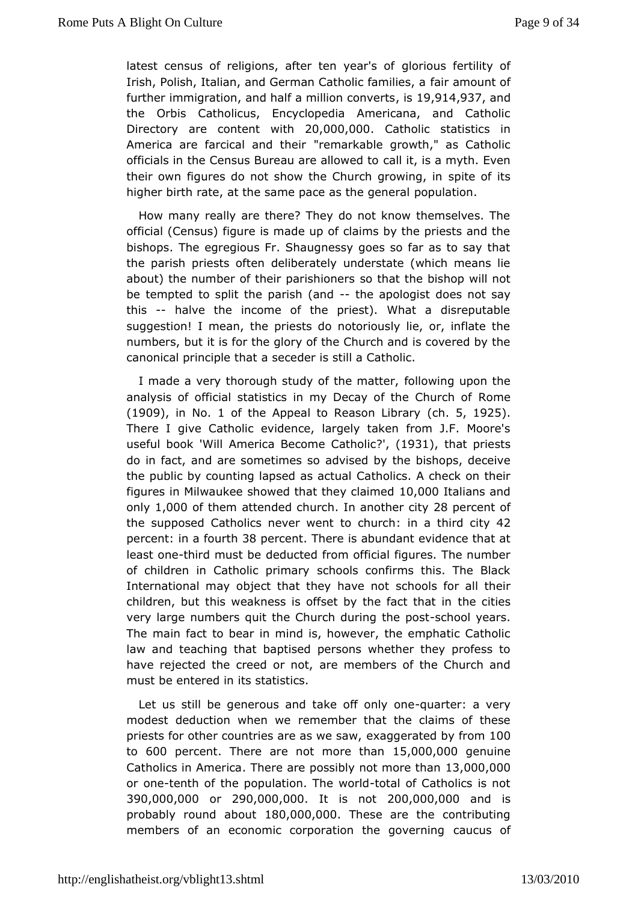latest census of religions, after ten briyoe us ferotfility of Irish, Polish, Italian, and German Catholica framunitest a further immigration half a million  $\cos \theta$   $\sin \theta$   $\sin 4$ , 9,3a7nd the Orbis Catholicus, Encyclopedia Americana, and Catholic  $Directory$  are notent with  $200,000$ ,  $0.000$  atholic statistics in America are farcical antodemot backmable growth," as Catholic officials in the Census Bureau acalalitowed at myth. Even their own figures do not show the Churshiteer confinites, in higher birth rate, at the same pace pspthe to population.

How many really are there? They do not know themselves. official (Census) figure is made up of claims by the priests a bishopshe egregious Fr. Shaugnessy goes so far as to say t the parish priestsdefithe mately understate (which means lie about) the number of their pasroisthionnethse bishop will not be tempted to split the parishe (apologist and say this-- halve the income of the priest). What a disreputabl suggestion! I mean, the priests do notoriously lie, or, inflat numbers, but is for the glory of the Church and is covered by the canonical principale stand are is still a Catholic.

I made a very thorough study of ft ollow ant the upon the analysis of official statistics in my Decay  $\delta$  ombe Church of  $(190\%$  in N.o1 of the Appeal to Reason chistra  $925$ . There dive Catholic evidence, largely taken from J.F. Moor useful book 'AWhielrica Become C'a't, (109 Bc), that priests do in fact, and are somedidmove sed oby the bishops, deceive the public by counting lapse C aatshoalcot and check on their figures in Milwaukee showed that 100e000talmands and only1,000 of them attended clinuranhother  $@$  by percent of the supposed Catholics never wenthto church heliay percent: ifourtB8 percent here is abundant evidence that at least o-nheird must doeeducted from official figures. The number of children in Catholic spontion and sy confirms this. The Black International may object that they cheavles not all their children, but this weakness is offset by tthe dative sthat in very large numbers quit the Church dusming othee poss.t Themain fact to bear in mind is, however, the emphatic Cath law and teachinad baptised persons whether they profess to have rejected the creeda or memphers of the Church and must be entered in its statistics.

Let ustill be generous and take of quantly romae very modest deduction wheen we ber that the claims of these priests for other countries aree as a guaner sate of by 1f  $0.0<sub>m</sub>$ to 600 percenthere are not more 15ham 0,000 enuine Catholics in Ameniecrae are possibly not more  $\theta$  and  $\theta$  and 000 oronetenth of the population. This ealwoof IdC atholics is not 390,000,000 290,000,000 is no 200,000,000 is  $p \cdot p \cdot p$  round at the  $0.00,000$  ranger are the contributing members of an economic corporation the augose offing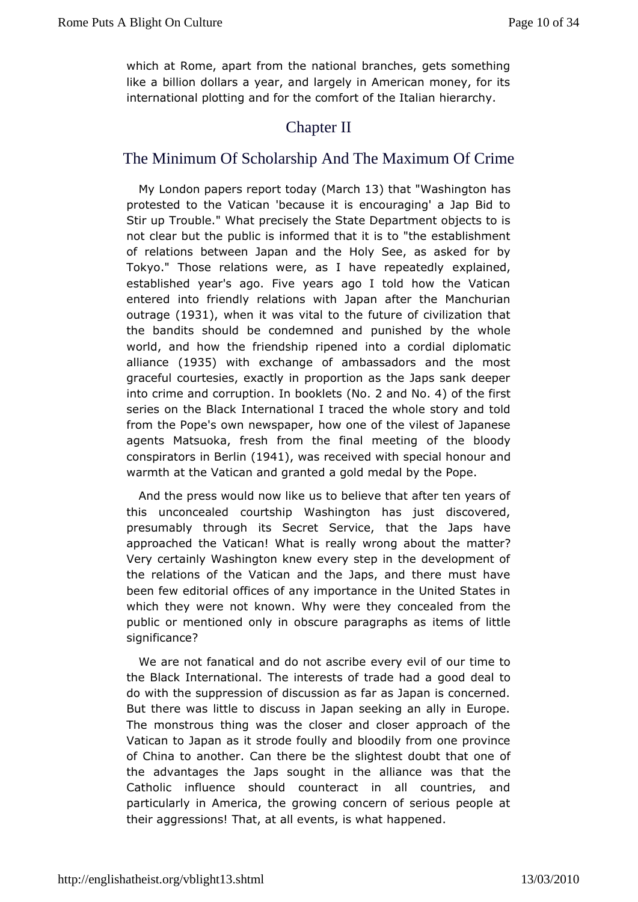which at Rome, apart from the national branches, gets some! like billion dollars a year, and largely in American money, for internatiopolaoltting and for the comfort of the Italian hierarchy.

## **ChapterII**

## The Minimum Of Scholarship And The Maximum Of Crime

MyLondon papers repor(tMtaordcatly3) that"Washington has protested to Vtaheican 'because it is encouraging' a Jap Bid t Stir up Trouble." pWehcasely the State Department objects to is not clear but the purbflocmed that it is to "the establishment of relations between Japan Hahyd Stee, as asked for by Tokyo." Those relations were, as I have repreased, edly established year's ago. Five years ago I told how the Vat enterednto friendly relations with Japan after the Manchuri outrag@1931, when intervital to the future of civilization that the bandits should be condempuedsheendd by the whole world, and how the friendship ripened dimploomaaticcrdial allianc@935 with exchange of ambassadors and the most gracefuburtesies, exactly in proportion as the Japs sank dee into crime  $a$ odruptidn bookl $f(x)$ s 2 and  $N$  $d$ ) of the first series on the Briack hational I traced the whole story and told from the Pope's own newhopwappene, of the vilest of Japanese agents Matsuoka, fresh from the final the beating dy conspirators in  $[3\oplus 4]$  nwas received with specian donour warmth at the Vatican and granted a gold medal by the Pope.

And theeress would now like us to believe that after ten years this unconceaded rtship Washington has just discovered, presumably through its Secretth Servince, Japs have approached the Vatican! What is really wmcartge about the Very certainly Washington knew every step in the developme therelations of the Vatican and the Japs, and there must h been few editofficcles of any importance in the United States in which they were not knowwnereWhyey concealed from the public or mentioned only in obscure parangrapph siteds significance?

We are not fanatical and do **Botary enally bead our time to** the Black International. The interests goof or to a deal had a do with the suppression of discussion as far as Japan is cond But there was little to discuss in Japan seeking an ally in E Themonstrous thing was the closer and closer approach of Vatican to Japanstas die foully and bloodily from one province of China to another. Can the enseligh test doubt that one of the advantages the Japs sought in whas a hibitant the controllery Catholic influence should counteract in all countries, particularly in America, the growing concern of serious peop theiaggressions! That, at all events, is what happened.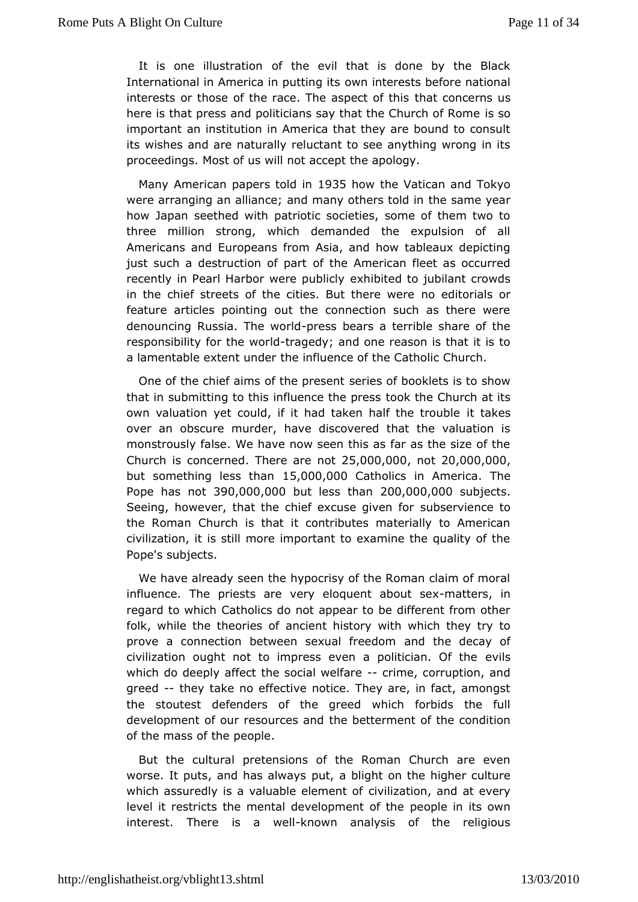It is one illustroaftiothe evil that is done by the Black International in America in opwantiim geintests before national interests or those of the race. The  $t$  happer  $\mathbf c$  that is us here is that press and politicians say that this Gburch of Rom important an institution in America that they are bound to co itswishes and are naturally reluctant to see anything wrong i proceedings. t of us will not accept the apology.

Many American papers 1963 show the Vatican and Tokyo were arranging an alliance; and many the heas meo whe an how Japan seethed with patriotic societies, some of them tv three million strong, which demanded the expulsion of Americans a Enudopeans from Asia, and how tableaux depicting just such a destruction of the aramerican fleet as occurred recently in Pearl Harbor wee ahpb bted divo jubilant crowds in the chief streets of the cities. Bruot tehdeintoriwad seor feature articles pointing out the connection such as there denouncing Russia. The ewses belowe ars a terrible share of the responsibifloty the wotrrladgedy; and one reason is that it is to a lamentable extent hued befluence of the Catholic Church.

One of the chief aims of the erpesses in booklets is to show that in submitting to this influentoeok hteh eproests rch at its own valuation yet could, if it had taken halffakes trouble over an obscure murder, have discovered that the valuatio monstrously false. We have now seen this as far as the size Church  $\dot{\sigma}$  sncerned here are  $\dot{a}$  5 to 00,000 to 120,000,000 but something less15h@an0,000atholics in AmeThieca  $P$ ope has  $$@0,000,000$ ut less than  $0.00,000$  bjects Seeing, however, that the chief excuses serveen to subserview the Roman Church is that it contributes materially to Amer civilization, it is still more important to examine the quality Pope'ssubjects.

We have already seen the hypocrisy of the Roman claim of n influence. The priests are very eloquerent tabsoutinsex regard to which a holics do not appear to be different from other folk, while the theoanesient history with which they try to prove a connection between sexuanthe dirteheed odnecay of civilization ought not to impress even a powitisian. Of the which do deeply affect the social ime, factor ruption, and greed-they take no effective notice. They are, in fact, amon the stoutest tenders of the greed which forbids the full development of our resoutrices sheat the the function development of the condition of the mass of the people.

But theultural pretensions of the Roman Church are eve worse. It puts, and has puat, way blight on the higher culture which assuredly is a valuable cevelment onf, and at every level it restricts the mental developperomente oin tilase own interest. There is -**knowendl analysis of the religious**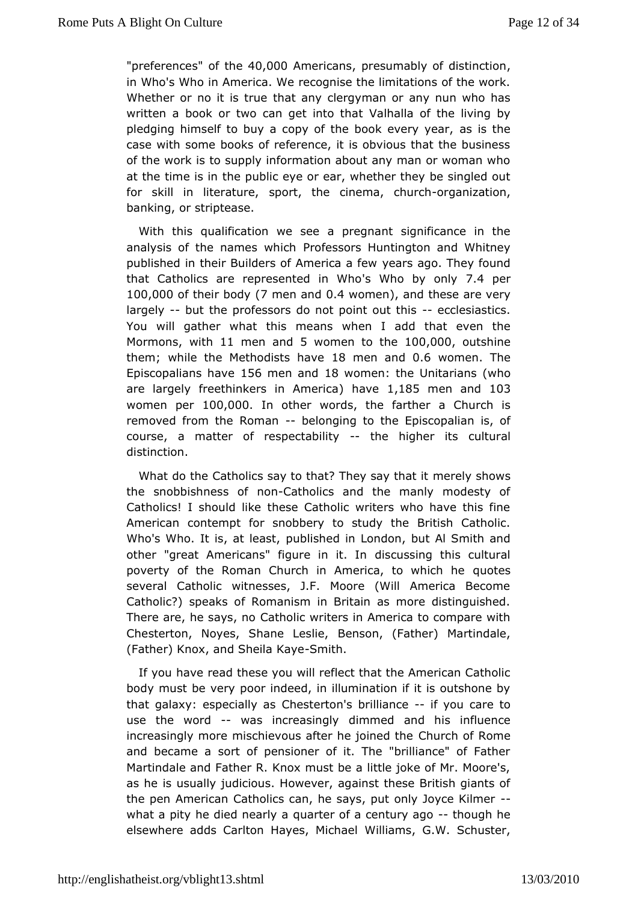"preferences the  $0.000$ Americans esumably of distinction in Who's Who America. We recognise the limitations of the wor Whether or no it ishatuæny clergyman or any nun who has written a book or two can get  $V$  anhall that the living by pledging himself to buy a copy of the boack is vehing year, case with some books of reference, it is obvious that the bus ofthe work is to supply information about any man or woman w at the time itsheinpublic eye or ear, whether they be singled ou for skill in literaspuorret, the cinema, -organization, banking, or striptease.

With thic pualification we see a pregnant significance in the analysis of the names Promo hips are shuntington and Whitney published in their Builders of Amearisaan of.e  $\overline{\textbf{w}}$  hey found that Catholics are represent'ed Wino Wohyo only per 100,000f their b67d men and 4 wome hand these are very largely-but the professors do not pointe out the shastics. You will gather twhis at means when I add that even the Mormonswith11 men ansol women to the 0,000 withine them; while the Methodists 8 have need and 6 women. The Episcopalians 1h5a6 meen anto 8 womenthe Unitarianhso are largefing ethinkers in Amenaivoeal, 185 men and 03 women peir 00,000 in othewords, the farther a Church is removed from the R-orbahonging to Etphies copalian is, of course, a matter of respectal belithyigher custural distinction.

What do the Catholics say to that? The eye say show sit the snobbishness  $dG$  at the  $C$  and the manly modesty of Catholics! I should like these Catholic writers who have thi Americamontempt for snobbery to study the British Catholic Who's Who. It is, apublaisthed in London, but Al Smith and other "great Americans" figurediscuistsing this cultural poverty of the Roman Church in America, quotewshich he several Catholic witnesses, J.F. Moore (Will America Bee Catholic Peaks of Romanism in Britain as more distinguishe There are, he sa $\mathcal{C}$ sa, thoolic writers in America to compare with Chesterton, Noyes, ShaneBelnessolmie, (Father) Martindale, (Father) Knox, and SheSmaithaye

If you ave read these you will reflect that the American Cath body must be pepy indeed, in illumination if it is outshone by that galaxy: especi**6 hes as** roon's brillian on our care to use the wordwas increasindghymed and his influence increasingly more mischievous after Chheu**johned Rhoen**e and became a sort of pensioner of it. The "brilliance" of F Martindale and Father R. Knox must be a little joke of Mr. Mc as he usually judicious. However, against these British giant the pen AmerCcaatholics can, he says, put only Joyce Kilmer what a pity he died noeueernity ena of a century thanguogh he elsewhere adds Carlton Haye Will Miachsa, eIG.W. Schuster,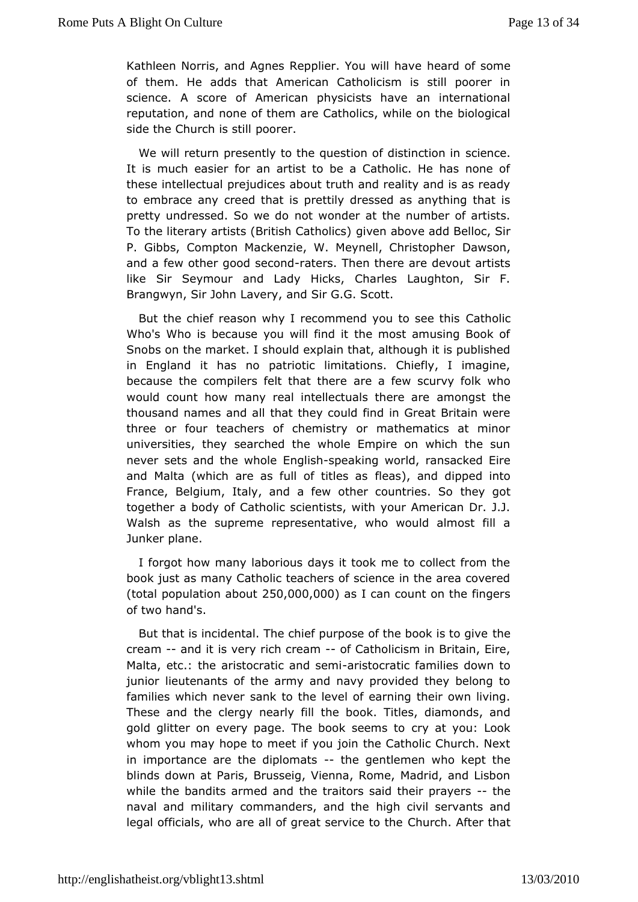Kathleen Norris, and Agnes Repplier.h¥aud woifilshoanwee of them. He adds that American Catholicism is still poore science. A score of American physicists have an internat reputation,  $a$  onde of them are Catholics, while on the biological side the Church  $\n *p*$  sourter.

We will return presently to the question sociedinistion in subsetion in It is much easier for an artist to be a Catholic. He has no thes entellectual prejudices about truth and reality and is as ready to embrace anged that is prettily dressed as anything that i pretty undressed. Sonwe wdoonder at the number of artists. To the literary artists (British Ceanthaod oo see) add Belloc, Sir P. Gibbs, Compton Mackenzie, W. MeyneDlawGbnistopher and a few other good-rsade osn.d Then there are devout artists likeSir Seymour and Lady Hicks, Charles Laughton, Sir Brangwyn, Sir John hade Syr G.G. Scott.

But the chief reason why I recommend y Gatholisee this Who's Who is because you will find it the most amusing Bod Snobs on the market. I should explain that, although it is publis in England it hapatrootic limitations. Chiefly, I imagine, because the compilers felt that at hier we scurvy folk who would count how many real intellectuals on the thas thousand names and all that they could find in Great Britain three or four teachers of chemistry or mathematics at mi universities, sbayched the whole Empire on which the sun never sets and the Ewn holiss hopeaking world, ransacked Eire and Malta (which are as full offeaist)esamads dipped into France, Belgium, Italy, and a few other theopy ng pites. So together a body of Catholic scientists, with your American D Walsh as the supreme representative, who would almost fi Junkeprlane.

I forgot how many laborious days it took me to collect from book just as many Catholic teachers of science in the area co (totap opulation a  $250$ t, 000, 000s I can count on the fingers of twband's.

But that is incidental. The chief purpose of the book is to gi cream-and it is very rich-coéaCmatholicism in Britain, Eire, Malta, etc.: the aristocraticarando semblic families down to juniorieutenants of the army and navy provided they belong families which sank to the level of earning their own living. These and the clergy netaely bofolk. Titles, diamonds, and gold glitter on every page. The booky sætemy suto Look whom you may hope to meet if you join the Catholic Church. in importance are the dipltomeagentlemen who kept the blinds down Paatis, Brusseig, Vienna, Rome, Madrid, and Lisbo while the bandits armt the anaditors said their-prayers naval and military commandershigaln chit is high servants and legal officials, who are all of greatCsheum circle At foot ethne hat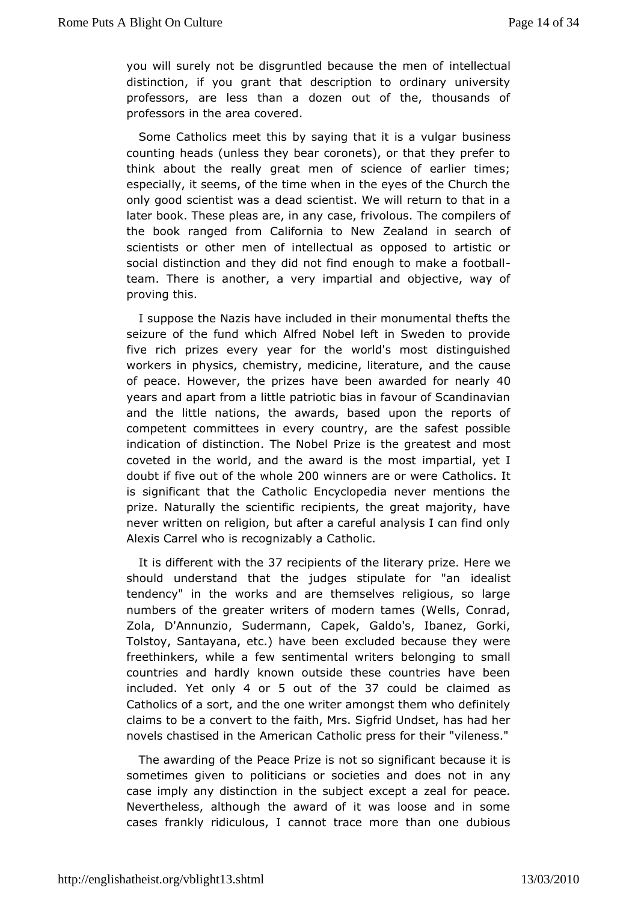you will surely not be disgruntled because the ectomash of distinction, if you grant that description to ordinary unive professors, are less than a dozen out of the, thousands professors inantehae covered.

Some Catholics meet this by saying thabusiness vulgar counting heads (unless they bear coronets), or that they pref think about the really great men of science of earlier tir especiall seetms, of the time when in the eyes of the Church the only good scientistd waads sacientist. We will return to that in a later book. These pleas acressin fainy olous. The compilers of the book ranged from California to NinewseZaerachanodf scientists or other men of intellectual as opposed to artis social distinction and they did not find enough-to make a foc team. Theirse another, a very impartial and objective, way o proving this.

I supposhee Nazis have included in their monumental thefts  $t$ seizure of the fund A will and Nobel left in Sweden to provide five rich prizes every yeam ofold's hemost distinguished workers in physics, chemistry, medicianed the raausee, of peaceowever he prizes have been awarded 4for nearly years and apart from a little patriotic bias in favour of Scandi and theittle nations, the awards, based upon the reports competent committe essering country, are the safest possible indication of distinction. Phie eN obsethe greatest and most coveted in the world, and the awardimispathtealmoysett I doubt if five out of th2e0 @whichlneers are or Owaetheolics. It is significant that the Catholic Encyclopedia never mention prize. Naturally the scientific recipients, the great majority nevewritten on religion, but after a careful analysis I can find Alexis Cawrred is recognizably a Catholic.

It is different wi37 rtchoeipient shoefliterary prize. Here we should understand that the judges stipuldestælistor "an tendency" in the works and are themselves religious, so I numbersf the greater writers of modern tames (Wells, Conra Zola, D'Annun Sucd, ermann, Capek, Galdo's, Ibanez, Gorki, Tolstoy, Santayana, etc.) heaved ubleed hbecause they were freethinkers, while a few sentimebnetad now in the small countries and hardly known outside these countries have t included et onla or 5 out of the  $\vec{a}$  could be claimed as Catholics of aassodrthe one writer amongst them who definitely claims to be a convertait that the rs. Sigfrid Undset, has had her novels chastised in the **A antencican press for their** "vileness."

The awarding of the Peacreo  $P$  sion essignificant because it is sometimes given to politicians or sdoceise theost amdany case imply any distinction in the subject epxecæmped a zeal for Nevertheless, although the award of it was loose and in s casesrankly ridiculous, I cannot trace more than one dubio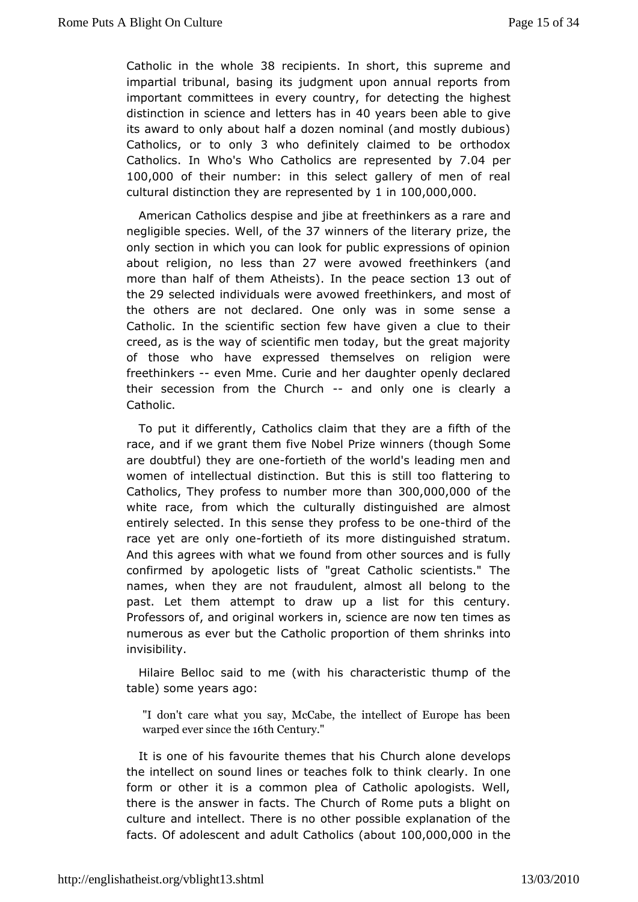Catholic in the  $\mathcal{B}$  advecipients shorthis supreme and impartial tribunal, bajsuid gmits tupon annual reports from important committees in every cobeut et or inghest distinction in science and le $4$ t $0$ eveahras beache to give its award to only about half a dozen nominal (and mostly dub Catholicos to only who definitely claimed to be orthodox Catholics. Who's Who Catholics are repres<sup>7</sup>e. Of the pode rby 100,000 of their number this elect gallery of men of real cultural distinction they are reparemented  $\omega$ ,  $\omega$   $\omega$   $\omega$   $\omega$ 

American Catholics despise and jibe at freethinh kers as a rai negligible spewled to the 7 winners of the literath eprize onlysection in which you can look for public expressions of op about religinon, less th2a7h were avowed freeth(ian koers more than half of them Althetilses peace set 3 iout of the 29 selected individuals werfer execut building from and most of the others are not declared. One only sweensseinasome Catholic. In the scientific section few have given a clue to creed, as is the way of scientific men today, but the great  $m_i$ of thosewho have expressed themselves on religion were freethinkersven Mme. Canide her daughter openly declared their secession from the--Cahudrcbnly onse clearly a Catholic.

To put it differently, Catholics claime ahait the most the race, and if we grant them five Nobel Prize Swomeers (though are doubtful) they afroertoinenteh of the world's leading men and women of tellectual distinction. But this is still too flattering Catholics, Tphroeyfess to number mor3e00th0a0n0,0000 the white race, from which the culture culturally distinguished are almost entirely selected. In this spermosfess they betholined of the race yet are onlivo otheth of its dhistenguished stratum. And this agrees with what we found from otheefus by urces and confirmed by apologetic lists of "great Catholic scientists. names, when they are not fraudulent, almost all belong to past. Let themempt to draw up a list for this century. Professors of, and originan, we contently are now ten times as numerous as ever but the Catholic to the monoshinoin kosf into invisibility.

Hilaire Belloc said to me c(huaint and his chainstic thump of the table) some years ago:

"I donc'are what you say, McCabe, the intellect of Europe warped everthseln6theCentüry

It is one of his favourite them Cehsurb at a his develops the intellect on sound lines or teaches efaorliky. In one in the immek form or other it is a common plea of Catholic apologists. there is the answer in facts. The Church of Rome puts a blic culture aimdellect. There is no other possible explanation of  $facts.$  Of adoless note  $natural$  and  $ul$  Cath $(ab \cdot os \cdot 100,000,000)$  the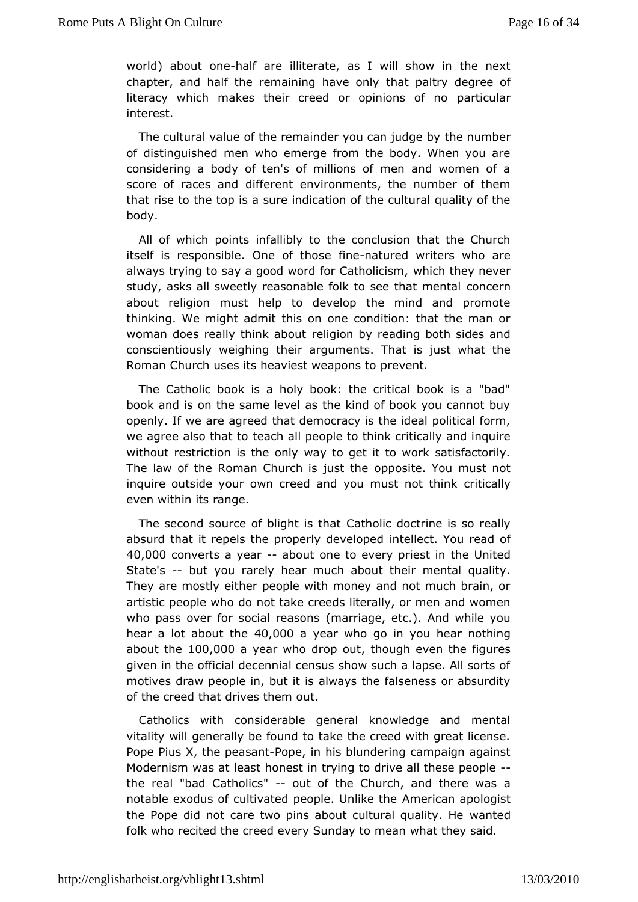world) about-hoalé arieliterate, as I will show in the next chapter, and half the remaining the admot padthy degree of literacy which makes their creed or oppianitions and no interest.

The cultural value of the remainder you he amumund generous of distinguished men who emerge from the body. When you considering a body of ten's of millions of men and women score of racesdanfied rent environments, the number of them that rise to the top isndissaltien of the cultural quality of the body.

All of which porifiat slibly to the conclusion that the Church itself is responsible. Onefiaten ahoused writers who are always trying to say a good word fow Ciatholhiecy sme, ver study, asks all sweetly reasonable folk to csome ethnat mental about religion must help to develop the mind and promo thinking. When ht admit this on one condition: that the man or woman does really thinke lag bourt by reading both sides and conscientiously weighing their ahgumsnitsst what the Roman Church uses its heaviest pwee apooths to

The Catholic book is a holy book: the critical book is a " book and is on the same level as the kind of book you canno openly. If awe agreed that democracy is the ideal political for we agree also the acto all people to think critically and inquire without restriction is the only get it to work satisfactorily. The law of the Roman Church oppions ittethe You must not inquire outside your own creed and you monisticandly think even within its range.

The second source of bligChathsoltikradoctrine is so really absurd that it repels the properliyn tobe weed to perour read of 40,000 converts a year bout one to every primest imited State's-but you rarely hear much about their mental quality Theyare mostly either people with money and not much brain, artistic peopled whout take creeds literally, or men and women who pass over for social (maasiangse, etc.). And while you hear a lot abou 40t, hold be year who go inhey acrunothing about the  $00,00$  a year who drop the outgh even the figures given in the official decennial census show such a lapse. All motivedsraw people in, but it is always the falseness or absur of the creed drhiartes them out.

Catholics with considerable general knowledge and mer vitality will generally be found to take the creed with great li Pope PiXs the peasPampe, in his blundering campaign against Modernism was ath benæstt in trying to drive all these people the real "bad Catholdus" ofhe Church, and there was a notable exodus of cultivated peopleme Unite take apologist the Pope did not care two pins about cultwe and textuality. He folk who recited the creed every Sunday to mean what they sa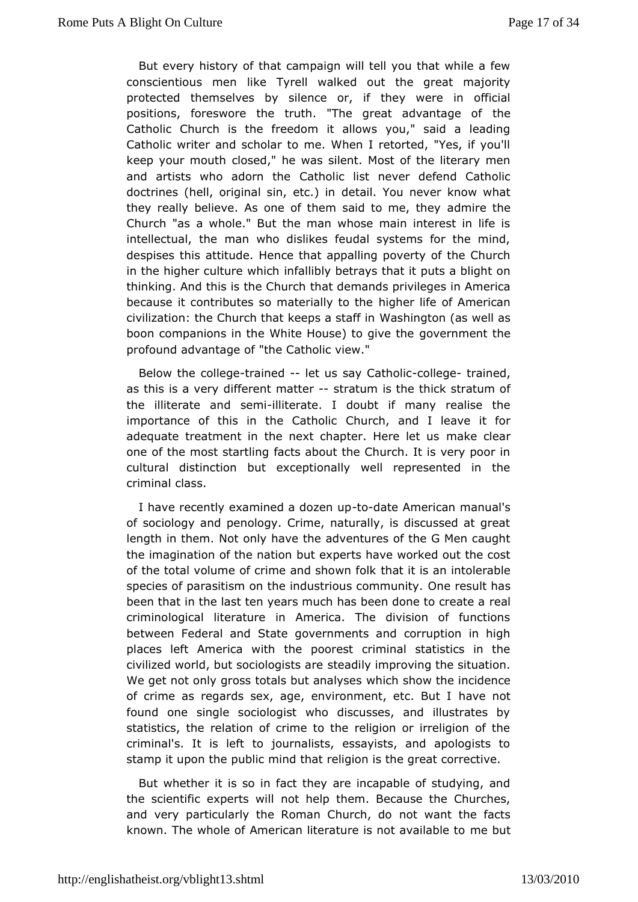Butevery history of that campaign will tell you that while a conscientious hile Tyrell walked out the great majority protected themselves by silentcheeyor werinform official positions, foreswore the truth. "The great the dyantage of Catholic Church is the freedom it allows you," said a lea Catholwcriter and scholar to me. When I retorted, "Yes, if yo keep your moultohsed," he was silent. Most of the literary mer and artists who adorChatthe Click never defend Catholic doctrines (hell, original simetail.) You never know what they really believe. As one of them said d morthed hey Church "as a whole." But the man whose main interest in li intellectual, the man who dislikes feudal systems for the n despises tahtits tude. Hence that appalling poverty of the Churc in the higher culturen whill chly betrays that it puts a blight on thinking. And this is the h£thd emhands privileges in America because it contributes so matehiiaglhigertoliften eof American civilization: the Church that kee  $W$  as a interpretation well as boon companions in the White Houseg) overgniment the he profound advantage of "the Catholic view."

Below thcollegterained-let us say Catholllic getrained, as this is a diefferent mattetratum is the thick stratum of the illiterate seemetilliterate. I doubt if many realise the importance of this in the CChautrhcohl, icand I leave it for adequate treatment in the next chaptermal tere least us one of the most startling facts about the Church. It is very p cultural distinction but exceptionally well represented in criminalass.

I have recently examined a-to-daee American manual's ofsociology and penology. Crime, naturally, is discussed at length in the mot only have the adventures of the G Men caught the imagination of the untation erts have worked out the cost of the total volume of crime and the hold winisfoath intolerable species of parasitism on the industrio@secoensmulth htays been that in the last ten years much has beemedadne to create criminological literature in America. The division of func betweefiederal and State governments and corruption in high places left Americahevit thoorest criminal statistics in the civilized world, but socio**sdg astis yarme** proving the situation. We get not only gross totals but hist has have the incidence of crime as regards sex, age, environment at the stut I found one single sociologist who discusses, and illustrate statistics, the relation of crime to the religion or irreligion criminal's. It is left to journalists, essayists, and apologi stamp utpon the public mind that religion is the great corrective

But whethersitso in fact they are incapable of studying, and the scientific expentost whielp them. Because the Churches, and very particularly the Roman rColturchent dtone facts known. The whole of American literature is me obuat ailable to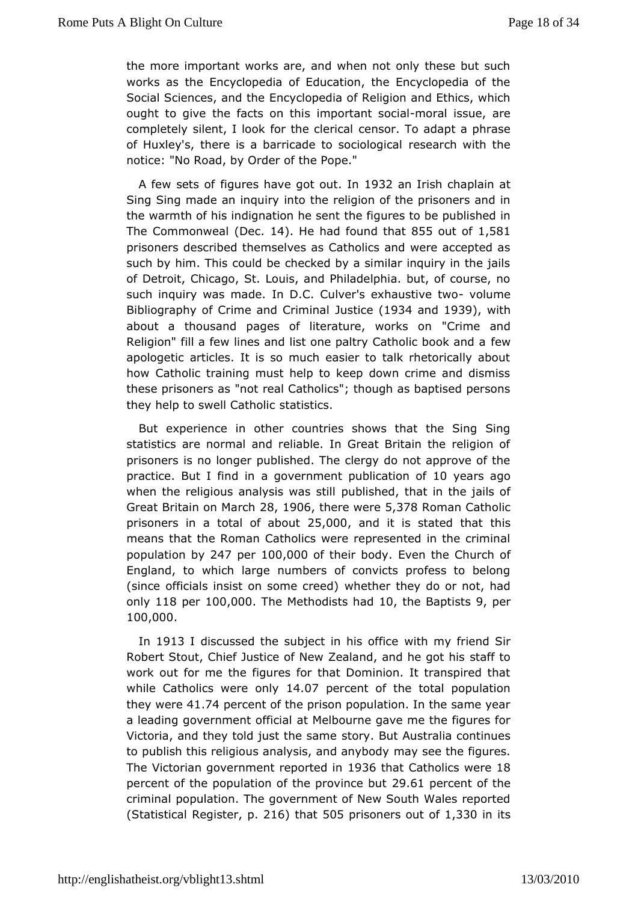the more important works are, and when not only these but  $s$ works athe Encyclopedia of Education, the Encyclopedia of  $t$ Social Sciences, aEnnotythe pedia of Religion and Ethics, which ought to give the facts monothes is sominated issue, are completely silent, I look for dees olreril coaladapt a phrase of Huxley's, there is a barricade to essentation ho gwidthal the notice: "No Road, by Order of the Pope."

A few setsfigures have got not  $Q$ t 32 an Irish chaplain at Sing Sing made an inquithe religion of the prisoners and in the warmth of his indignation hente igneriets to be published in The Commonw( $\Theta$ ælc 14). He had found  $855\delta$ ut of 581 prisoners described themselves as Catholics and were accept such by him. This could be checked by a similar inquiry in th of DetroCthicago, St. Louis, and Philadelphia. but, of course, such inquiry was madDe.C. Culver's exhaustwo bumtweo Bibliography of Crime and JuCs inc (inhe 34 and 1939), with about a thousand pages of literature", Crwimo eksanodn Religion" fill a few lines and list one paltry Catholic book an apologetic articles. It is so much easier to talk rhetorically howCatholic training must help to keep down crime and dism these prisone actival Catholics"; though as baptised persons they help to swell Gsatheticss.

But experience in other countries shows that the Sing Sing statistics are normal and reliable. In Great Britain the relig prisoneirs no longer published. The clergy do not approve of practice. But I fandgowernment publication peoples ago when the religious analysipuwbaiss hset dl,I that in the jails of Great Britain on 208a1006there we5e378 Roman Catholic prisoners in a total of 5 a the and it is stated that hat means that the Roman Catholics were represented in the crin populatiby 247 per100,000 f their boEdwen the Church of England, to which nluam opers of convicts profess to belong (since officials insist on sowthethee etch) ey do or not, had only118 per100,000 The Methodists 1 0, a ble Baptis 8 sper 100,000 .

In 1913I discussed the subject inwhits mfyficteiend Sir Robert Stout, Chief Justice of New Zealanostaaf hot ohe got his work out for me the figures for that Dominion. It transpired whileCatholics were 1ch Dy 7 percent of the total population they wead.7 percent of the prison population. In the same yea a leading governmenta of Melbourne gave me the figures for Victoria, and they told juststo bey samue Australia continues to publish this religious analysis, maany dsæmey bhoedyfigures. The Victorian government relps of the tin Catholics and 8 percent of the population of the pool incereduit of the criminal population. The government of New South Wales repe  $(S$ tatisti $R$ ælgistepr. 216 that $505$  prisoners out,  $330$  in its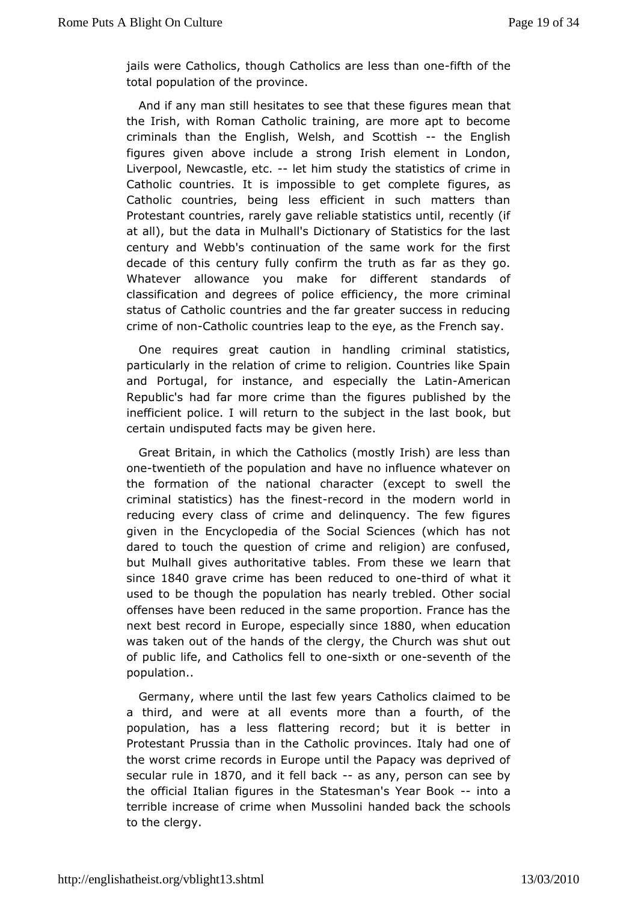iails were Cathtohloicuss, h Catholics are less fiththan of the e total population porfowhiece.

And if any man still hesitates to see that thte sae figures meal the Irish, with Roman Catholic training, are more apt to bee criminals an the English, Welsh, and - Shcotthish ballish figures given above ancodurobeng Irish element in London, Liverpool, Newcastlele the im study statistics of crime in Catholic countries. It is impossible to figures omans lete Catholic countries, being less efficient in such matters Protestant countries, rarely gave reliable statistics until, rec atall), but the data in Mulhall's Dictionary of Statistics for the centurand Webb's continuation of the same work for the fir decade of this century confirm the truth as far as they go. Whatever allowance you mackieferfont standards of classification and degrees of police efficient in the more status of Catholic countries and the far greater success in re crime of noantholic countries leap to the eye, as the French sa

One requires great caution in handling criminal statistic particularly inetheion of crime to religion. Countries like Spai Portugal, for insatmadices pecially the Amberican Republic's had far more crime tham uthe shigular by the inefficient police. I will return to the subbookt boutthe last certain undisputed facts may be given here.

Great Britainw, hinh the Catholics (mostly Irish) are less than onetwentieth of the popaund the move no influence whatever on the formation of the national (exae adteto swell the criminal statistics) has -the ecofricheisht the movedeen Ind in reducing every class of crime and delinquency. The few fig given ithe Encyclopedia of the Social Sciences (which has dared to touch question of crime and religion) are confused, but Mulhall gives authorabile table From these we learn that since 840 grave crime has been red metholr of what it used to be though the population has nearly otrieabled. Other offenses have been reduced in the same proportion. France  $h_i$ nextbest record in Euersoppe cially s1880 when education was taken outth of hands of the clergy, the Church was shut out of public life, and Cfætthotloicesniexth or esneeventh of the population..

Germany, where the tillast few years Catholics claimed to be a third, and were at all eventan maor tourth, of the population, has a less flattering record; bunt it is bette Protestant Prussia than in the Catholic provinces. Italy had the worstime records in Europe until the Papacy was deprived secular rul & 8  $\bar{a}$  and it fell baak any, person can see by the official Italian fighue eStatesman's Year-Booka terrible increase of crime wheha Moduesos oblancik the schools to the clergy.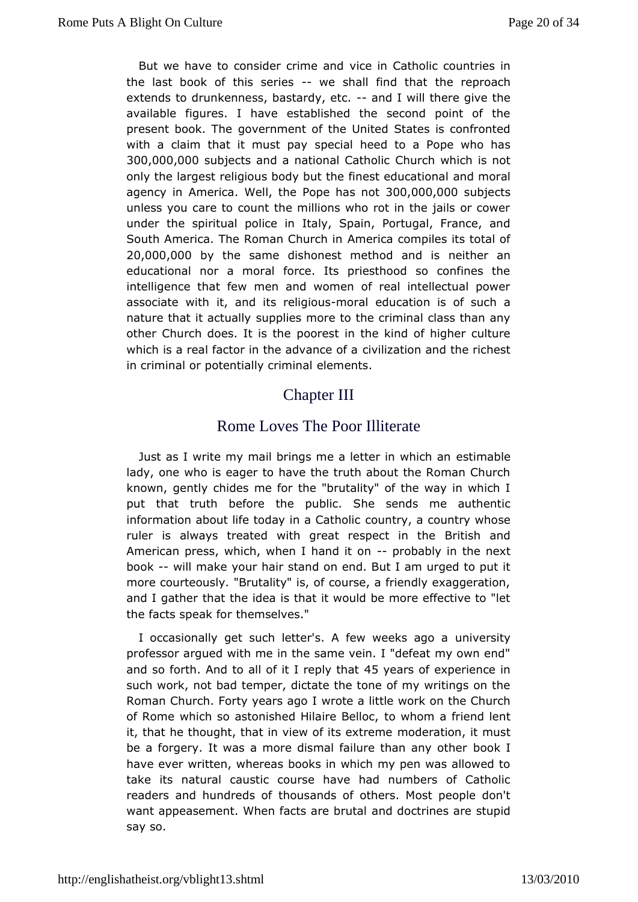But we have to consider cyice iandatholic countries in the last book of this--sweeiesshall find ttheatreproach extends to drunkenness, bastaadyd, let cill there give the available figures. I have established the second point of present book. Gblweernment of the United States is confronted with a claim that it musspte-pinaly heed to a Pope who has 300,000,000 bjects and a national C OC atholic chis not only the largest religious body but the fine ed tree druad ational agency in AmeWealthe Pope has 300t 000,000 bjects unles you care to count the millions who rot in the jails or co under the spirptoulate in Italy, Spain, Portugal, France, and South America. The Roman & merchain compiles its total of 20,000,000 the same dishonest methondeialmedrian educational nor a moral force. Its priesthood so confines intelligence that few men and women of real intellectual p associate with and its reling bormas education is of such a nature that it acstuablives more to the criminal class than any other Church does. Iposrelse in the kind of higher culture which is a real factor in the  $a\alpha b$  value  $c$  at  $\alpha$  and the richest in criminal or potentiallelements.

# Chapter III

# Rome Loves The Podititerate

Just as I write my mail brings me a lettes timat heich an lady, one who is eager to have the truth about the Roman Ch knowngently chides me for the "brutality" of the way in whic put that truth bethore public. She sends me authentic information about life today incoaunCtarthodic cuntry whose ruler is always treated with great reBonetcishimantche American press, which, when I-hand batb bynin the next book-will make your hair stand on end. But I am urged to put morecourteously. "Brutality" is, of course, a friendly exaggeration and I gatheat the idea is that it would be more effective to  $||$ the facts speathermselves."

I occasionally get such letter's. A few unive ekssitago a professor argued with me in the same vein. I "defeat my own andso fort And to all of it I replby that is of experience in such work, bnad temper, dictate the tone of my writings on the Roman Church. Forty yelaws oal go a little work on the Church of Rome which so astonished Hilaineh Benellao driend lent it, that he thought, that in view of thous extinceme eit must be a forgery. It was a more dismal failure bidhoakn lany other have ever written, whereas books in which my pen was allowe take itsatural caustic course have had numbers of Cathol readers and hundred bushinds of others. Most people don't want appeasement. When facts and ed borouttraines are stupid say so.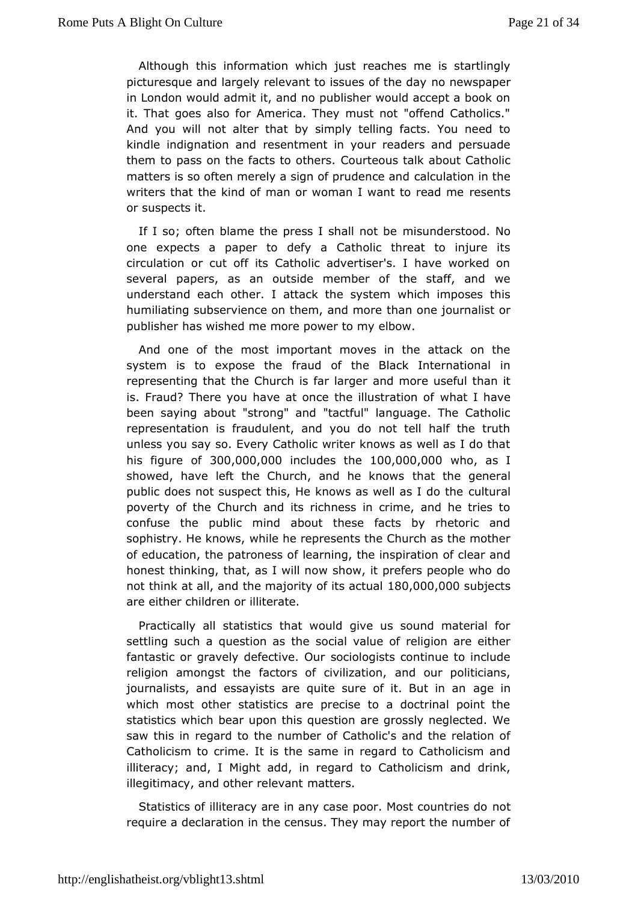Although this information whe ethels the is startlingly picturesque and largely relevant to issues eowfsphaepedray in London would admit it, and no publisher would accept a bo it. That goes also for America. They must not "offend Cathol And you whibit alter that by simply telling facts. You need to kindle indignationesaemdtment in your readers and persuade them to pass on the facts Coo wonthe eorus talk about Catholic matters is so often merely a sign of coarluc outeantaio enaind the writers that the kind of man or woman I want to read me or suspects it.

If I so; often blame the press I snhialln diets boeod. No one expects a paper to defy a Catholic threat to injure circulation or cut off its Catholic advertiser's. I have work severapapers, as an outside member of the staff, and  $w\epsilon$ understand each othetack the system which imposes this humiliating subservience on them haan on meo journalist or publisher has wished me more power to my elbow.

Andone of the most important moves in the attack on th system is to exposerathe of the Black International in representing that the Church ianfolarmolographes and than it is. Fraud? There you have at once the whiaustration of been saying about "strong" and "tactful" language. The Cat representation is fraudulent, and you do not tell half the unless you ssoay Every Catholic writer knows as well as I do that his figure  $3@10,000,0@0$  cludes the  $0,000,0@0$  ho as I showed, have left the Church, and habe the eowgseneral public does not suspect this, He knows as cwellural I do the poverty of the Church and its richness in crime, and he tri confuse the public mind about these facts by rhetoric  $i$ sophistry. He know how lse, he represents the Church as the mother of education, the patromers ing f, the inspiration of clear and honest thinking, that, as bhow iwi, now prefers people who do not think at all, and the majority 180, 000 Qa, 0t QuQab jects are either children or illiterate.

Practically steallistics that would give us sound material for settling such a question on a salthe solute of religion are either fantastic or gravely defecstoveologuists continue to include religion amongst the factors of acridilionatipoliticians, journalists, and essayists are quite sure ageitin But in an which most other statistics are precise to a doctrinal poin statistics which bear upon this question are grossly neglecte saw this rengard to the number of Catholic's and the relation Catholicism to crimsethet same in regard to Catholicism and illiteracy; and, I Might add, ton Crætghaorloicism and drink, illegitimacy, and other matteewasnt

Statistics of illiteracy are in any case poor.notost countries require a declaration in the census. They may report the numl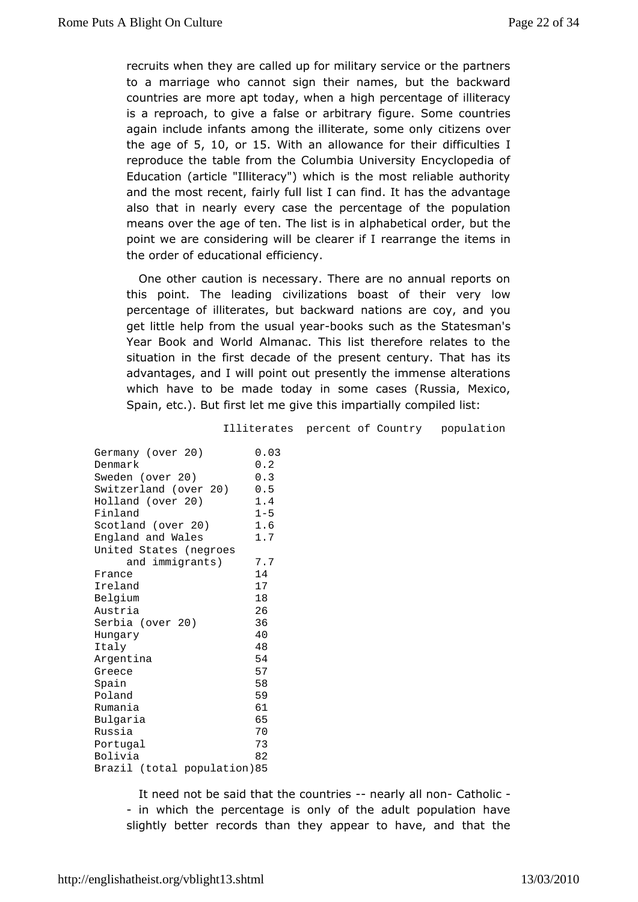recruits hen they are called up for military service or the partr to a marriage wahon ot sign their names, but the backward countries are more apt todalyigh home man tage of illiteracy is a reproach, to give a false  $\ddot{\omega}$  guare arbit  $\ddot{\omega}$  and countries again include infants among the illiteraiteizes rosmevenly the age  $\mathfrak{F}_n$  f 10, or 15. With an allowance for their Idifficulties reproduce the table from the Columbia University Encycloped Education article "Illiteracy") which is the most reliable author and the most refeainty full list I can find. It has the advantage also that in nearly evethye cpaes recentage of the population means over the age of ten. The bhist being is inder, but the point we are considering will berecalmeranmegreifthle items in the order of educational efficiency.

One otheaution is necessary. There are no annual reports  $\alpha$ this point. The leadidining ations boast of their very low percentage of illiterates, but batach waarde coy, and you get little help from the ubaaksy sauch as States man's Year Book and World Almanac. This list therefore relates to situation in the first decade of the present century. That h advantages, d I will point out presently the immense alteration which have to be to adday in some cases (Russia, Mexico, Spain, etc.). But first let mien maive tathing compiled list:

Illiterates percent of Country population

| Germany (over 20)<br>Denmark  | 0.03<br>0.2 |
|-------------------------------|-------------|
| Sweden (over 20)              | 0.3         |
| Switzerland<br>(over<br>20)   | 0.5         |
| (over 20)<br>Holland          | 1.4         |
| Finland                       | $1 - 5$     |
| Scotland<br>(over 20)         | 1.6         |
| <b>England and Wales</b>      | 1.7         |
| <b>United States (negroes</b> |             |
| and immigrants<br>)           | 7.7         |
| France                        | 14          |
| Ireland                       | 17          |
| Belgium                       | 18          |
| Austria                       | 26          |
| Serbia<br>(over 20)           | 36          |
| Hungary                       | 40          |
| Italy                         | 48          |
| Argentina                     | 54          |
| Greece                        | 57          |
| Spain                         | 58          |
| Poland                        | 59          |
| Rumania                       | 61          |
| <b>Bulgaria</b>               | 65          |
| Russia                        | 70          |
| Portugal                      | 73          |
| <b>Bolivia</b>                | 82          |
| Brazil<br>(total population   | 85 (        |
|                               |             |

It need not be said that the -cnoeuenrity ieedl - nCoantholic

- in which the percentage is only of the adult population  $f$ slightly bettee croids than they appear to have, and that the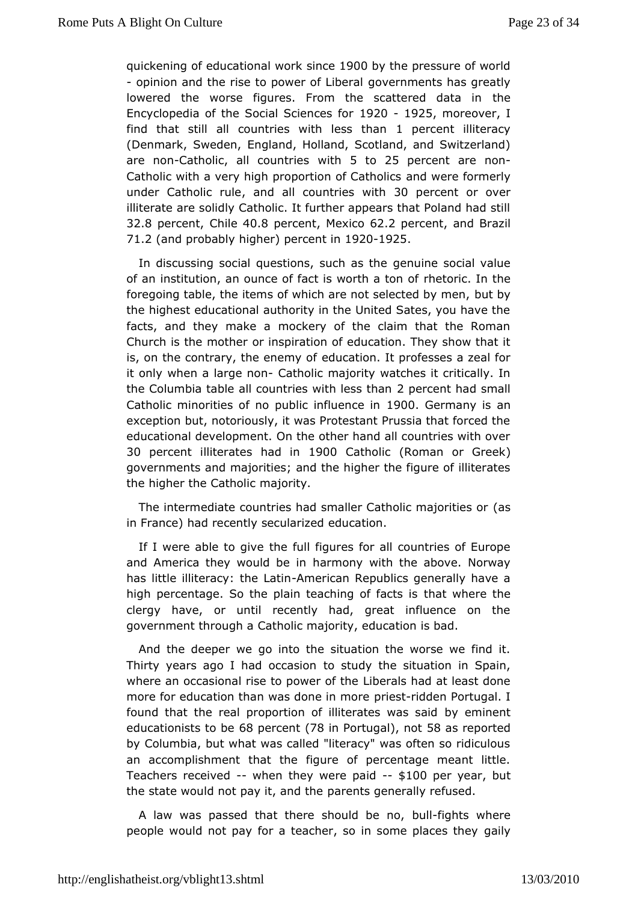quickening of education and row boloov the pressure of world - opinion and the rise to powegoof eknomerals has greatly lowered the worse figures. From the scattaeed data in Encyclopedia of the Social St920c492f5omoreover find thættill all countries with lesperthement illiteracy (Denmark, Swedeng, Iand, Holland, Scotland, and Switzerland) are no@atholic, all countthosto 25 percent are - non Catholic with a very high proportionanof wCearten of bircrae rly under Catholic and be all countries 30 with arcent or over illiterate are solidly Catholic. It further appears that Poland I 32.8 percen  $Chil$   $40.8$  perce, n $M$ exic  $62.2$  perce, nat nd Brazil  $71.2$  (and probably het percent 19201925

In discussing social questions, gean and naes stone ial value of an institution, an ounce of fact is rwerdhia ton the foregoing table, the items of which are not **set**ebyted by men, the highest educational authority in the United Sates, you have facts, and they make a mockery of the claim that the Rom Church is the mothimespiration of education. They show that it is, on the contrary, the edemaytion find the professes a zeal for it only when a larg@anbolic majowraty hes it critically. In the Columbia table all countries w2ipherloessnstthhand small Catholic minorities of no public 1900f DuGeencome a nny as exception but, notoriously, it was Protestant Prussia that ford educational development. On the other hand all countries with 30 percentliterates had 90m0 Cathol (Roman or Greek governments and majanidiebe higher the figure of illiterates the higher the  $C$  antholicty.

The intermediate countries had smaller Cathoasic majorities or in France) had recently secularized education.

If I were able tothgeivfeull figures for all countries of Europe and America they would abmeoimy with the above. Norway has little illiteracy: the Lation allocal Lics generally have a high percentage. So the plain teachithe ato for hier cest here clergy have, or until recently had, great influence on government through a Catholic majority, education is bad.

And the deewergo into the situation the worse we find it. Thirty years ago I had to catsuidy the situation in Spain, where an occasional rise to pbioter and is thin and at least done more for education than was dopmeeismtionhoberne Portugal. I found that the real proportion of illitebay tees mines and educationists 668 percent 78 in Portugabt 58 as reported by Columbia, but what was called "literacy" was often so ridian accomplishment that the figure of percentage meant litt Teachers receivweblen they were -p \$11d0 Oper yeabrut the state would not pay it, and the penerally refused.

A law was passed that there shobul difighets mowhere people would not pay for a teacher, so in some by places they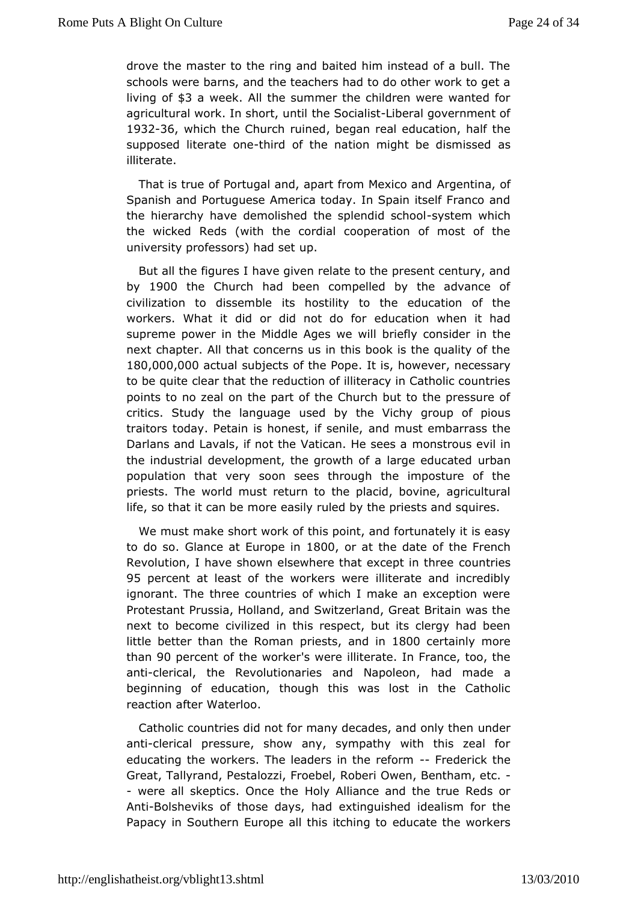drove the master to the ring and baited him instead of a bull schools ere barns, and the teachers had to do other work to get living \$8 a week II the summer the children were wanted for agricultural work. In shtchret, Suconctilia-Liist eral government of 1932-36, which the Church , roueing each reeaducation, half the supposed literatehionde of the nation might be adsismissed illiterate.

That is true of Portugal and, apart frem man entertain and and Spanish and Portuguese America today. In Spain itself Franc the hierarchy have demolished the spolyes not swothiobl the wicked Rewdisth the cordial cooperation of most of the university professors) upad set

But all the figures I have given relate to the present century by 1900 the Church had been compelled by the advance of civilization to dissiesmbhostility to the education of the workers. What it did or did neodu**da**tifonr when it had supreme power in the Middle Ages we will ibritchfely consider next chapter. All that concerns us in this book is the quality 180,000,000 tual subjects of the Roowevenecessary to be quitear that the reduction of illiteracy in Catholic count points to no ozneathe part of the Church but to the pressure of critics. Study the langudgby the Vichy group of pious traitors today. Petain is honessindifms ushibem barrass the Darlans and Lavals, if not the VaticmansHeoseesvil in the industrial development, the growth of authagne educated population that very soon sees through the imposture of priests. Twhoerld must return to the placid, bovine, agricultural life, so that it craon be easily ruled by the priests and squires.

We must make short who insk poof int, and fortunately it is easy to do sGlance at Europ800, or athe date of the French Revolution, I have shown elsewhere that cexucretories three 95 percent at least of the workers were illiterate and incre ignorant. The three countries of which I make an exception Protestant antussia, Holland, and Switzerland, Great Britain was next to becomivellized in this respect, but its clergy had bee little better than the pRicens, as and in 800 certainly more than90 percent of the wso wkeenelliterate. In France, too, the anticlerical, the Revolutionaries and hamdlapmodaedoen, a beginning of education, though this was lost in the Cath reaction fter Waterloo.

Catholic countries did not for many decadeus, dæmd only then anticlerical pressure, show any, sympathy with this zeal educatining workers. The leaders in the redicorminak the Great, Tallyr Pastalozzi, Froebel, Roberi Owen, Bentham, etc. - were all skeptics. O hloody the liance and the true Reds or Ant-Bolsheviks of those daeystinguadshed idealism for the Papacy in Southern Europe all theiduictatheintch etoworkers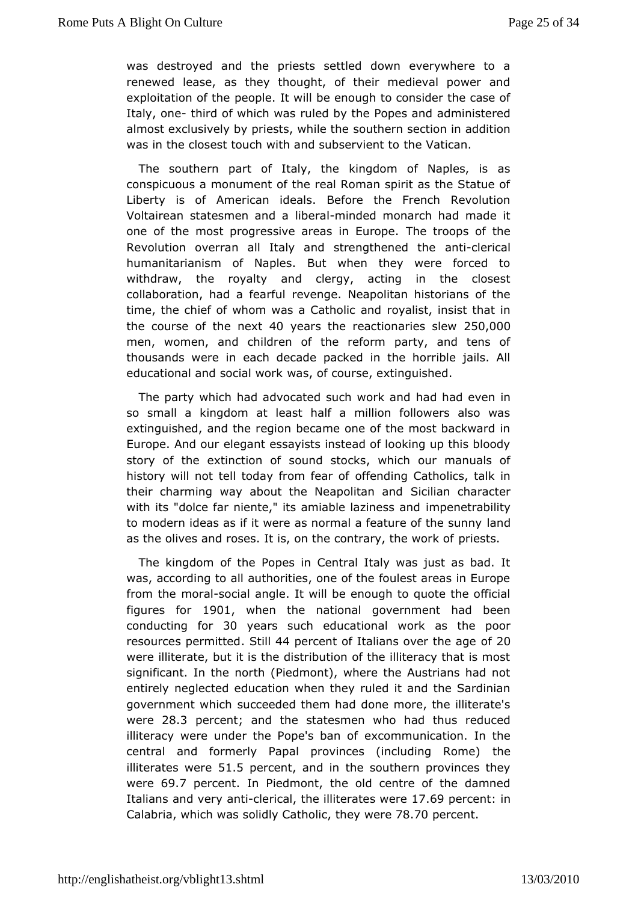was destroyed and the priests settled down everywhere to renewed lease, as they thought, of their medieval power exploitation opetomple. It will be enough to consider the case o Italy, o-ntehird of which ruwlærsd by the Popes and administered almost exclusively by priests, owthile enthsee ction in addition was in the closest touch with and sthes vatient to

The southern part of Italy, the kingdom of Naples, is conspicuous a monument of the real Roman spirit as the Stat Liberty is Aomferican ideals. Before the French Revolution Voltairean statesmenlibed and inded monarch had made it one of the most progressive areasThe Erocoppse.of the Revolution overran all Italy and stremagntheodened athe humanitarianism of Naples. But when they were forced withdrawthe royalty and clergy, acting in the closest collaboration, had are we minut. Neapolitan historians of the time, the chief of whom was a Craotyhaollisct, annotsist that in the course of the 40 eyetars the reactionari  $250,000$ men, women, and children of the reform party, and tens thousands weareeach decade packed in the horrible jails. All educational and sociwaal swooth course, extinguished.

The party which had advocated subladwbald ærven in so small a kingdom at least half a million followers also extinguished, and the region became one of the most backwa Europe. And edegant essayists instead of looking up this blood story of the extinctsoundf stocks, which our manuals of history will not tell today fr**om** fedding of Catholics, talk in their charming way about the Nea $\beta$  oditian and  $\alpha$  acter with its "dolce far niente," its amiablienplazienterabilaintyd to modern ideas as if it were as normal a featuurde of the sunn as the olives and roses. It is, on the contpairey st the work of

The kingdom of the Popes in Central Italy was just as bad was, according to all authorities, one of the foulest areas in from theorasocial angle. It will be enough to quote the offici figures fologit when the national government had been conducting  $8\text{ or }$  years such educatwion halas the poor resources perm Stidd44 percent of Italians ovepft2n0e age were illiterate, but it is the distribution of the illiteracy that significant. In the north (Piedmont), where the Austrians had entirely eglected education when they ruled it and the Sardini government whsiucchceeded them had done more, the illiterate's were28.3 percent and the tatesmen who had thus reduced illiteracy were under the Popeex's obnammunomication. In the central and formerly Papal provinces (inctllueding Rome) illiterates w5e1r. opercent and in the southern provinces they were69.7percent. In Piedmont, the old centre of the damned Italians and wethplerical e illiterates 1 We 6 Opercent in Calabria, which own add y Catholonic were 78.70 percent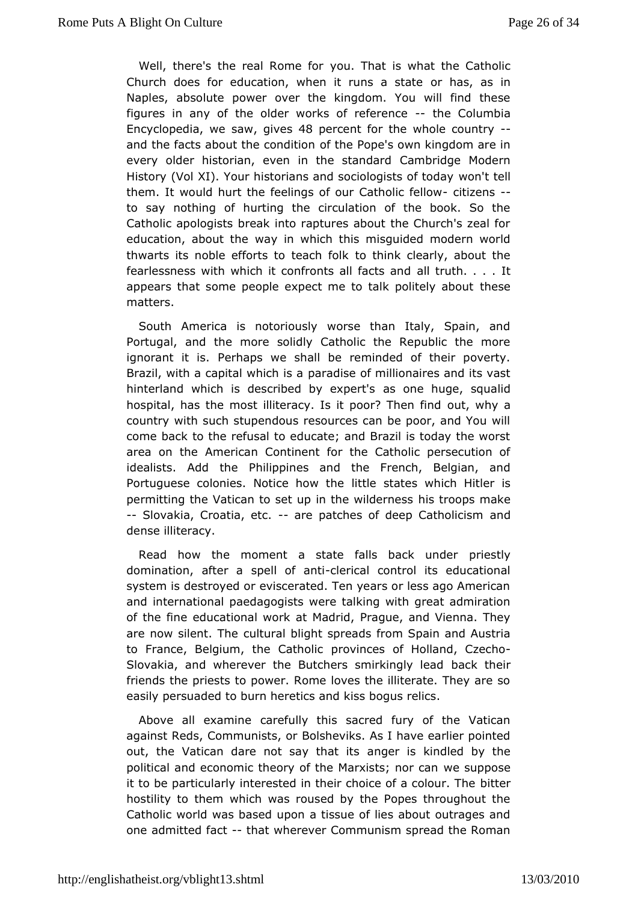Well, there's the real Rycome That is what the Catholic Church does for education, when it cunsas, satsaten Naples, absolute power over the kingdom. You will find the figures in any of the older works  $of$  the fe $\Omega$  or the the  $\Omega$ Encyclopedias awe gives 48 percent for the whole -country and the facts about the obridieti Diope's own kingdom are in every older historian, even in the ams band gaed Modern History (Vol XI). Your historians and sociwo bondist tell today them. It would hurt the feelings of our-Cattlitzee his fellow to say nothing of hurting the circulation of the book. So Catholapologists break into raptures about the Church's zeal education, abouwathein which this misguided modern world thwarts its noble efforts to ttoeatch in Kolcklearly, about the fearlessness with which it confrontsald litrications, and It appears that some people expect me to talkhostitely about matters.

South America is notoriously worse than Italy, Spain, and Portugal, and the more solidly Catholic the Republic the ignorant it Pisthaps we shall be reminded of their poverty. Brazil, with a capital wphainchis based millionaires and its vast hinterland which is described as expectius e, squalid hospital, has the most illiteracy. Is it poundr?whipean find country with such stupendous resources can be poor, and Yo comeback to the refusal to educate; and Brazil is today the w area on the nerican Continent for the Catholic persecution c idealists. Add Pthiteippines and the French, Belgian, and Portuguese colonies. Noticelith bew stthae es which Hitler is permitting the Vatican to set up in thimes whiologors mensaske -- Slovakia, Croatia, aente patches of deep Cathondicism dense illiteracy.

Read how the moment a state falls baice stliwnder domination, after a spelle ficanticontrol its educational system is destroyed or eviscerated. Ten years or less ago Am andinternational paedagogists were talking with great admira of the fine ucational work at Madrid, Prague, and Vienna. The are now silent.cullitueral blight spreads from Spain and Austria to France, Belgium, the pCratholics of Holland, Czecho Slovakia, and wherever the Butchers smbanckkinghlerinlead friends the priests to power. Rome loves the illiterate. They easily persuaded to burn heretics and kiss bogus relics.

Above all examcer refully this sacred fury of the Vatican against Reds, Commundetshewiks. As I have earlier pointed out, the Vatican dare not sagngleatists kindled by the political and economic theory of the Mawreisstus prose can it to be particularly interested in their choidettoera colour. Th hostility to them which was roused by the Popes throughout Catholwoorld was based upon a tissue of lies about outrages  $i$ one admitted -fatatat wherever Communism spread the Roman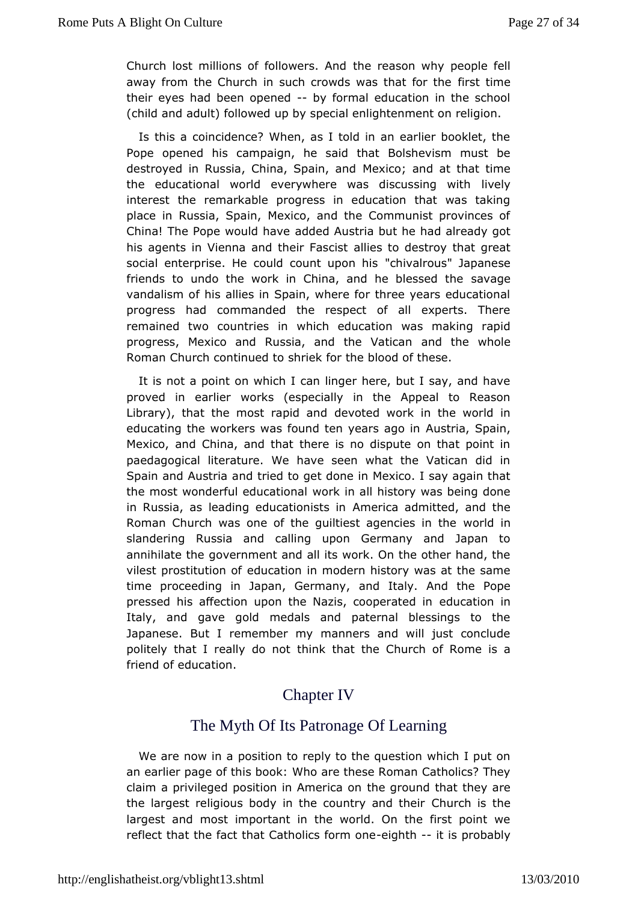Church lost millions of folldwerseasod why people fell away from the Church in such crowds wafsirsthatimer the their eyes had been op beyne dormal education in the school (child and adult) followed up by special enlightenment on religion.

Isthis a coincidence? When, as I told in an earlier booklet Pope opened chaimapaign, he said that Bolshevism must be destroyed in Russia, China, Mexico; and d at that time the educational world everywhere was dibiovest ainq with interest the remarkable progress in education that was ta place Rhussia, Spain, Mexico, and the Communist provinces China! The Pope wou add chead Austria but he had already got his agents in Vienna and the irie Fsastoisstes troy that great social enterprise. He could cou'hah impad no this Japanese friends to undo the work in China, and he avbalopessed the vandalism of his allies in Spain, where for three years educational progress had commanded the respect of all experts. The remained two countrieshich education was making rapid progress, Mexico and Russia, and athologheational hole Roman Church continued to shriek for the blood of these.

Itis not a point on which I can linger here, but I say, and  $\vdash$ proved in earwicerrks (especially in the Appeal to Reason  $Library)$ , that the most radpeix dotaendd work in the world in educating the workers was found ten Ayuesatrisa ago  $p$ ainn, Mexico, and China, and that there is no dispute on that poi paedagogical literature. We have seen what the Vatican di Spain and Auahrdatried to get done in Mexico. I say again that the most wonderful eduwationalall history was being done in Russia, as leading educaAtmoennisctas and mitted, and the Roman Church was one of the guiltiest awgoemidiess in the slandering Russia and calling upon Germany and Japan annihilate  $g$  beernment and all its work. On the other hand, the vilest prostitutiecchu coation in modern history was at the same time proceeding in Japan, Gedmatrayy. And the Pope pressed his affection upon the Nazis, ecdoucreation in Italy, and gave gold medals and paternal blessings to Japanes But I remember my manners and will just conclude politely that I really thom knothat the Church of Rome is a friend of education.

## **ChapterIV**

# The Myth Of Its Patronage Of Learning

We are now prosaition to reply to the question which I put on an earlier page of th Wsh booke these Roman Catholics? They claim a privileged position in the egrican dunthat they are the largest religious body in the coultry roam distitue is largest and most important in the world. On the first point reflect that the fact that Catholed ghitch Fint os a probably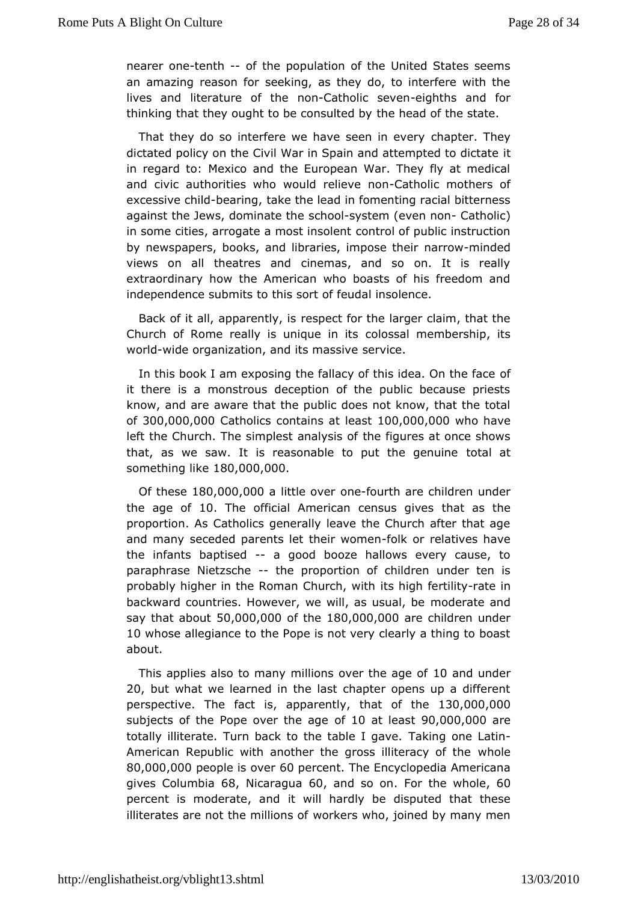neareonetenth-of the population of the United States seems an amazing reasosne of birng, as they do, to interfere with the lives and literature roofn Chatholic seeviegmiths and for thinking that they ought to be commes between  $\phi$  the state.

That they do so interfere we have scheen ption e  $\overline{v}$  dency dictated policy on the Civil War in Spain and attempted to dic in regard to: Mexico and the European War. They fly at me and civacuthorities who would reloCeavteon inconnect sof excessive ethe ad induake the lead in fomenting racial bitterness against the Jews, domins ante only etem (even - Cantholic) in some cities, arrogate a mocsothinosiol befinioul instruction by newspapers, books, and libraries, namin poema en dibedir views on all theatres and cinemas, and so on. It is reextraordinary how the American who boasts of his freedom independes abmits to this sort of feudal insolence.

Back of it all, apparent by e.cts for the larger claim, that the Church of Rome really is unicopolesismalitissembership, its worldwide organization, and its emvaisseive

In this book I am exposing the fallacy of this off dea. On the face it there is a monstrous deception of the public because pr know, and a weare that the public does not know, that the total  $of300,000,000$  contholic contains at least  $1000,000$  ho have left the Church. The simplest the afligation fact once shows that, as we saw. It is reasonable to putotale agenuine something  $M$ 80,000,000

Of the sie 0,000,000 little oow efourth are children under the age  $\phi$ 0. The official American census that gases he proportion. As Catholics generally leave the Church after that and many seceded parents let theik womehatives have the infanbaptised-a good booze hallows every cause, to paraphrase Nietzsche proportion of children under ten is probably higher in the Roman Citarbhghwfith triditey in backward countries. However, we willmadeusuealantde say that ab500,t000,0000 the80,000,000 e children under 10whose allegiance to the Pope is not very clearly a thing to about.

This applies also to many millions o $\psi \theta$  rand deum of the  $\theta$ 20, but what we learned in the last chapter opens up a diffe perspective. Flancet , is apparently hat of thie 30,000,000 subjects of the Pope over of the adglee  $a\,9\,0\,0\,0\,0\,0$  and  $e$ totally illiterate. Turn back to the Ttaakbilneglognaevelatin American Republic with another the gross wilhiod beracy of the 80,000,000 **copies** is compercent the Encyclopedia Americana  $g$ ivesColumbi6a8, Nicaragu6a0, and so . offior the who6loe percent is moderatet awid hardly be disputed that these illiterates are not the mwiblikons cowiho, joined by many men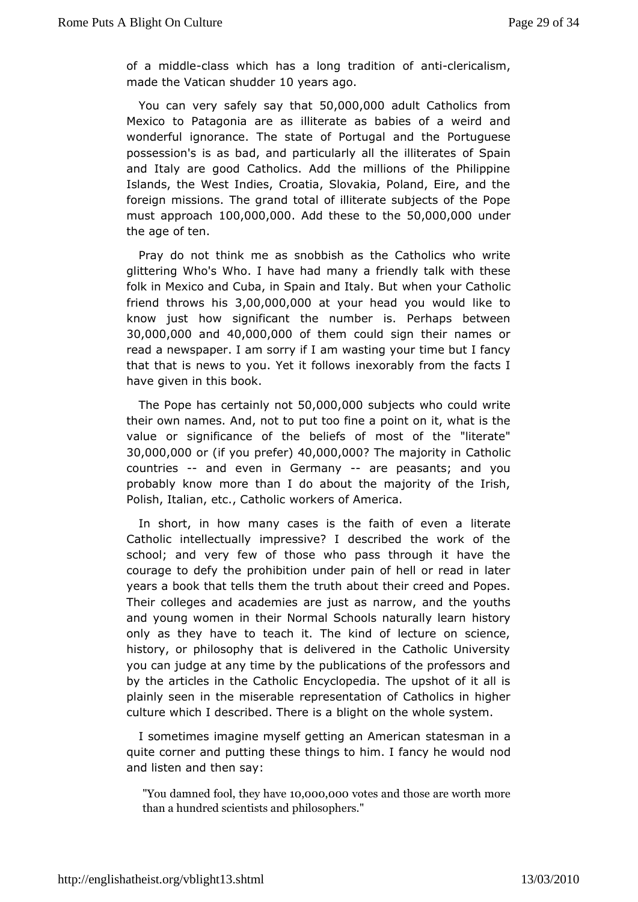of a mid-dclleass which has a long tranadhittic of antique  $\alpha$ made the Vatican show dears ago

You can vesay fely say that 000,00adult Catholics from Mexico to Patagonia ialriete as as babies of a weird and wonderful ignorance. The state **and Portuguese** possession's is as bad, and particularly afl Sthainlliterates and Italy are good Catholics. Add the millions of the Phili Islands, the West Indies, Croatia, Slovakia, Poland, Eire, and foreigmissions. The grand total of illiterate subjects of the F  $must$  approal  $\omega$ h 0,000,0 $\omega$  dd these to 5t $0$ , $\omega$ 00,0 $\omega$  der the age of ten.

Pray do ntohink me as snobbish as the Catholics who write glittering Who's Who. I have whan diffundly talk with these folk in Mexico and Cuba, in Spain when the Buattholic friend throws  $3h0s$ , 000,000 your head you would like to know just how significant the number is. Perhaps betwe  $30,000,00$   $30,000,00$   $40,000,000$  them could sign their names or read a newspaper. I am a onrwaistilng your time but I fancy that that is news to you. Yetnidx for book wis from the facts I have given in this book.

The Pope bastainly  $501000,000$  biects who could write their own names. And punto to too fine a point on it, what is the value or significance of the mbestiefs fot the "literate"  $30,000,000$  (if you promote  $44$   $\alpha$ ,000,000 he majorit  $\alpha$  and holic countries and even in Germanye peasants; and you probably knmow re than I do about the majority of the Irish, Polish, Italian, etc., woarkheor bicof America.

In short, in how many cases is the failtihte patteeven a Catholic intellectually impressive? I described the work of schooland very few of those who pass through it have the courage to defyprichheibition under pain of hell or read in later years a book that tells thetch about their creed and Popes. Their colleges and academies mare rowstamsd the youths and young women in their Normal Schools hiatorally learn only as they have to teach it. The kind of lecture on scie history, philosophy that is delivered in the Catholic Univer you can judge attimanyby the publications of the professors and by the articles in the EC nactyhoolloipedia. The upshot of it all is plainly seen in the miseporable entation of Catholics in higher culture which I described. bill highte on the whole system.

I sometimes imagine myself getting satmat As menaincain a quite corner and putting these things to him. nodancy he would and listen and then say:

"You damned fool,1t0h,e0y0 oh,a0w0e0tes and those are worth more than a hundred sci**entists amers**."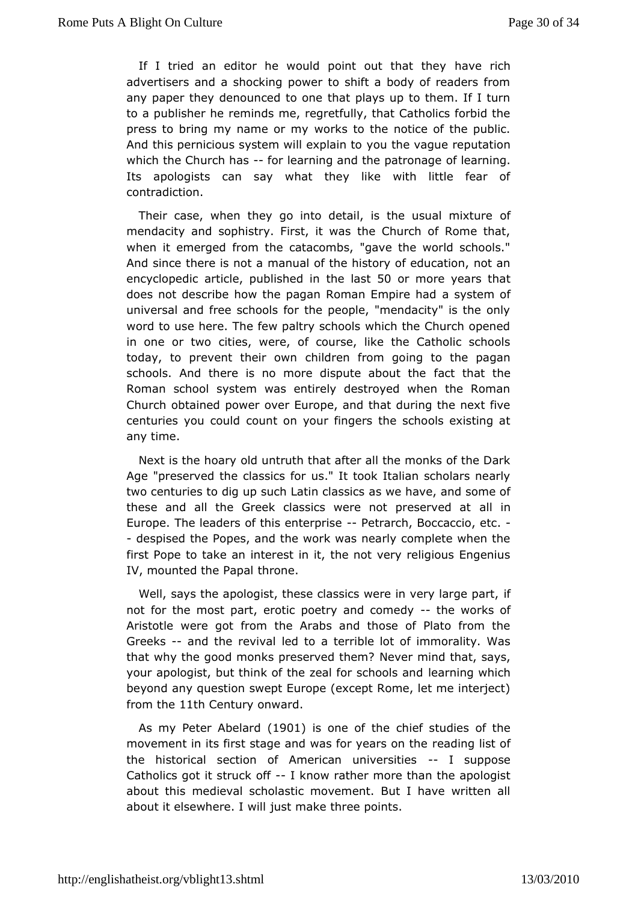If I tried an editor he would point oloutave hartich hey advertisers and a shocking power to shift a body of readers anypaper they denounced to one that plays up to them. If I t to a publisherre mends me, regretfully, that Catholics for bid the press to bring my nameworks to the notice of the public. And this pernicious system will one and almost provide reputation which the Church-froaslearning and the paotfromagreing. Its apologists can say what they like with little fear contradiction.

Their case, when they go into detail, is thefusual mixtur mendacity and sophistry. First, it was the Church of Rome when idemerged from the catacombs, "gave the world schools And since there ismantical of the history of education, not an encyclopedic article, pu**thishlead 510** normore years that does not describe how the pagan Romaan sEymepeime ohfad universal and free schools for the people, "mendacity" is the word to use here. The few paltry schools which the Church of in one or twibies, were, of course, like the Catholic schoo today, to prevent the child dwnen from going to the pagan schools. And there is no more disputactabout the Roman school system was entirely destroyed when the Ron Churchobtained power over Europe, and that during the next f centuries you cowulndt on your fingers the schools existing at any time.

Next is the hobadry untruth that after all the monks of the Dark Age "preserved the classics It took Italian scholars nearly two centuries to dig up such Latin elhasiec, sand some of these and all the Greek classics were noallprieserved at Europe. The leaders of this-e Phetarioshe Boccaccio, etc. - despised the Popes, and the work was nearly complete when first Pope to atakinterest in it, the not very religious Engenius  $IV$ , mounted the  $f$ mapale.

Well, says the apologist, these classics were ifn very large  $\frac{1}{2}$ not for the most part, erotic poetry-and come of the components of Aristotweere got from the Arabs and those of Plato from th Greeks- and the revival to a terrible lot of immorality. Was that why the good monks presen weeder hemined that, says, your apologist, but think of the zeal floemans coilm ogo wha board beyond any question swept Europe (except Rome, let me inter from th<sup>1</sup>e1th Century onward

As my Peter Abéll & Odis one of the eef studies of the movement in its first stage and was forreadarres bisttbe the historical section of American-universities Catholics got it struck thow rather more than the apologist about thme dieval scholastic movement. But I have written a about it elsewhere ustwmlake three points.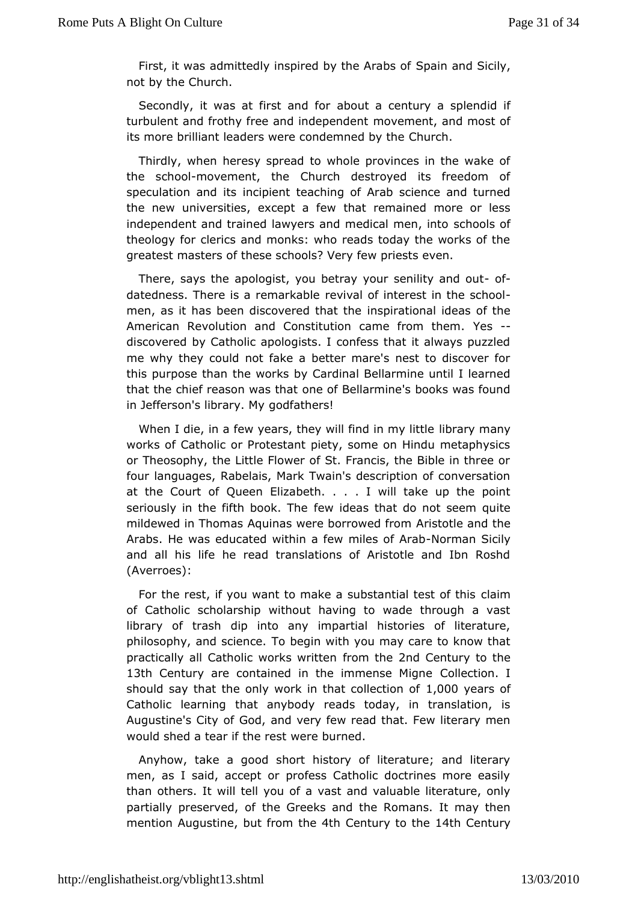First, it was admittedly inspired by Sphen Arabs Spotily, not by the Church.

Secondly, it was at firstabaonudt foorcentury a splendid if turbulent and frothy free and imdoe peemed retained most of its more brilliant leaders were cond@murcd.by the

Thirdly, when heresy spread to whole provinces in the wak the schoem ovement, the Church destroyed its freedom of speculation anich dit pient teaching of Arab science and turned the new universities, excetchtata remained more or less independent and trained lawyers and medichalohsenfinto theology for clerics and monks: who reads today the works o greatest masters of these schools? Very few priests even.

There, says at the logist, you betray your senil othy and out datedness. There is a remearikabloef interest in the school men, as it has been discovered sphinationeal ideas of the American Revolution and Constitution came from them. discovered by Catholic apologists. I confess that it always p me why they could not fake a better mare's nest to discover this purpose thanworks by Cardinal Bellarmine until I learned that the chief reason wae bhabellarmine's books was found in Jefferson's libraow.faMigers!

When I die, in a few years, they will flibdairy mmyaniyttle works of Catholic or Protestant piety, some on Hindu metaph orTheosophy, the Little Flower of St. Francis, the Bible in th fourlanguages, Rabelais, Mark Twain's description of convers at the CourtQueen Elizabeth. . . . I will take up the point seriously in the fifth boowk.idenes that do not seem quite mildewed in Thomas Aquinas were boArmics woetdefracmed the Arabs. He was educated within a few-Normit msa Solific Alyab and all his life he read translations of Aristotle and Ibn F (Averroes):

For the rest, if you want to make a substantian test of this of Catholic scholarship without having to wade through a  $l$ ibrary  $\phi$  fash dip into any impartial histories of literature philosophy, and schence egin with you may care to know that practically all Catholic works mw the 2nd Century to the 13th Century are contained in the immCeonIsteectMoignel should say that the only work in that OldDye cairs no of Catholic learning that anybody reads today, in translatior Augustine's ChitGod, and very few read that. Few literary men would shed a tear if wheeer desutrned.

Anyhow, take a good short history of literature; and lite men, as I said, accept or profess Catholic doctrines more e than otherswill tell you of a vast and valuable literature, on partially preservende Gireeks and the Romans. It may then mention Augusbiunte from t4hteh Century to theteh Century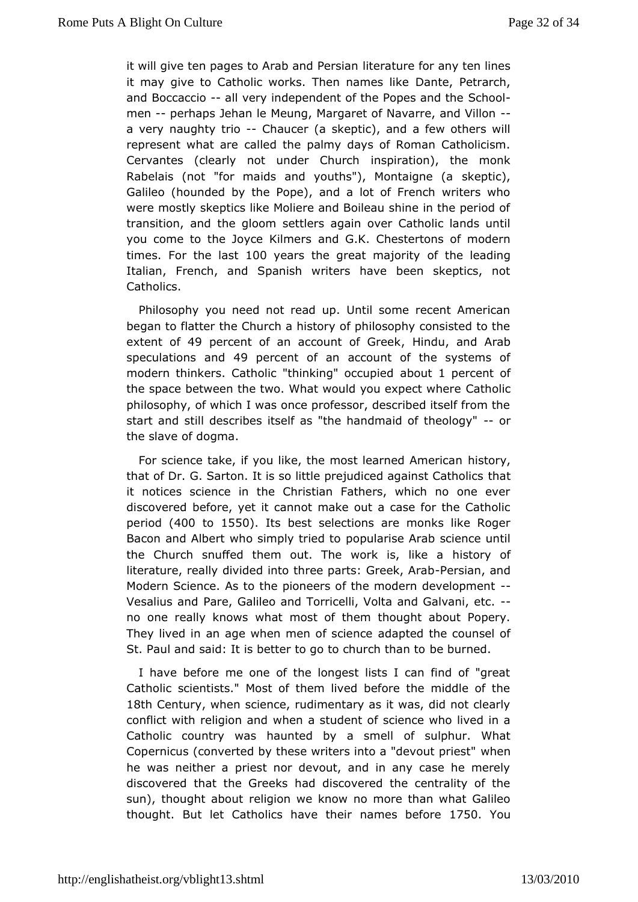it will give ten pages to Arab lathed a Rearspian any ten lines it may give to Catholic works. ThenDannatme.esPetike.rch, and Boccaceadl very independent of the Popeh and the men--perhaps Jehan le Meung, Margaret of Navarre, and Villo a vernaughty tric haucer (a skeptic), and a few others will represent what canled the palmy days of Roman Catholicism. Cervantes (clearly not under insOphicuation), the monk  $R$ abelais (not "for maids and youths"),  $s$ Wieptadone (a Galileo (hounded by the Pope), and a lot of French writers weremostly skeptics like Moliere and Boileau shine in the peri transition, ahed gloom settlers again over Catholic lands unt you come to the Joyce a idmerk. Chestertons of modern times. For the last to years the great map for tilt of leading Italian, French, and Spanish writers have been skeptics, Catholics.

Philosophy you need not read up. Until some recent Amer began to flatter the Church a history of philosophy consisted extent of an account , offlice dend Arab speculations  $49$  p $\phi$  ercend f an account of the systems of modern thinkers. Catholic "thinkinady" owent reagning and the of the space between the two. What would you ad to peinct where philosophy, of which I was once professor, described itself fr start and still describes itself as "the handmaid of theology' the slave dogma.

For science take, if you like, the most lehas the cdy, American that of Dr. G. Sarton. It is so little prejudicethat gainst Cathol it notices science in the Christian Fathers, which no one discoverbed fore, yet it cannot make out a case for the Cathol period(400 to1550). Itsbest selections are monks like Roger Bacon and Albert who simployo pluilead isce Arab science until the Church snuffed them out. The work istory like a literature, really divided into three parPsersGamekanAdrab Modern Science. As to the pioneers of the modern developme Vesalius aPrade, Galileo and Torricelli, Volta and Galvani, etc. no one really kwows most of them thought about Popery. They lived in an age when menadapstoeidentohee counsel of St. Paul and said: It is better to go tobehbuuch etchan to

I have before me one of the longest lists I can find of "q Catholic scientists." Most of them lived before the middle of 18th Centumy hen science, rudimentary as it was, did not clear conflict with religion heand student of science who lived in a Catholic country was haunted by fasusimpleuir. What Copernicus (converted by these writers into wah "edhe vout priest" he was neither a priest nor devout, and in any case he me discovereldat the Greeks had discovered the centrality of the sun), thought arbedugion we know no more than what Galileo thought. But let Catholics hreaver esthebier for Te50 You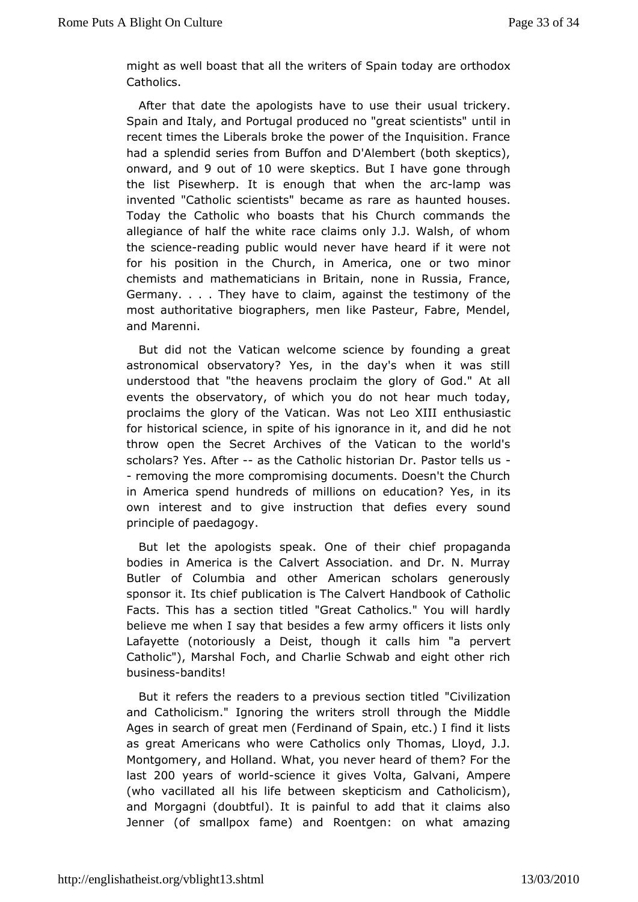might as well boast that all the writers and Spating dipoxidav Catholics.

After that date the apologists haveusou auserichkeeirry. Spain and Italy, and Portugal produced no untertion scientists" recent times the Liberals broke the power of the Inquisition.  $\vdash$ had a splendid series from Buffon and D'Alembert (both skep onwardand9 out of 0 were skeptBast I have gone through the list Pisewherp.enough that when the mancwas invented "Catholic scientists" became as rare as haunted houses. Today the Catholic who boasts that his Church commands allegiance of half the white race claims only J.J. Walsh, of thesciencreading public would never have heard if it were no for his positiothein Church, in America, one or two minor chemists and mathematicians  $m$   $\mathbf{b}$  in  $\mathbf{r}$  in  $\mathbf{r}$ , and  $\mathbf{r}$  and  $\mathbf{r}$ Germany. . . . They have to claim, agains the the testimony most authoritative biographers, men like Pasteur, Fabre, Me andMarenni.

But did not the Vatican welcome science by founding a g astronomical observatory? Yes, in the day's when it was understood that heavens proclaim the glory of God." At all events the observatory,  $\phi$  fouw bolic hnot hear much today, proclaims the glory of the Vatican. Was nhous Læsoti Kill for historical science, in spite of his ignorannetin it, and did throw open the Secret Archives of the Vatican to the world scholars? Néber-as the Catholic historian Dr. Pastor tells us - removing the momepromising documents. Doesn't the Church in America spend hundreds cofnmeidlucation? Yes, in its own interest and to give instruction that socuenfoles every principle of paedagogy.

But let the apologists speak. Onbeiedf pthoepiaganda bodies in America is the Calvert Association. and Dr. N. M Butler of Columbia and other American scholars generou sponsor it. Its parbile tation is The Calvert Handbook of Catholic Facts. This has a section etatile Chatholics." You will hardly believe me when I say that besides faide ws at miysts only Lafayette (notoriously a Deist, though it pearleast him "a Catholic"), Marshal Foch, and Charlie Schwab and eight othe busine-shsandits!

But it refers the readers to a previous Csedizoantion thed and Catholicism." Ignoring the writers stroll through the M Ages in search of great men (Ferdinand of Spain, etc.) I find as greatmericans who were Catholics only Thomas, Lloyd, J. Montgomery, and HoW haand. you never heard of them? For the last200 years of w-scliothce it givolentsa, Galvani, Ampere (who vacillated all his life between  $s\mathbb{Q}$  aptiodisms manned and Morgagni (doubtful). It is painful to add that it claims Jenner (of smallpox fame) and Roentgen: on what amazi